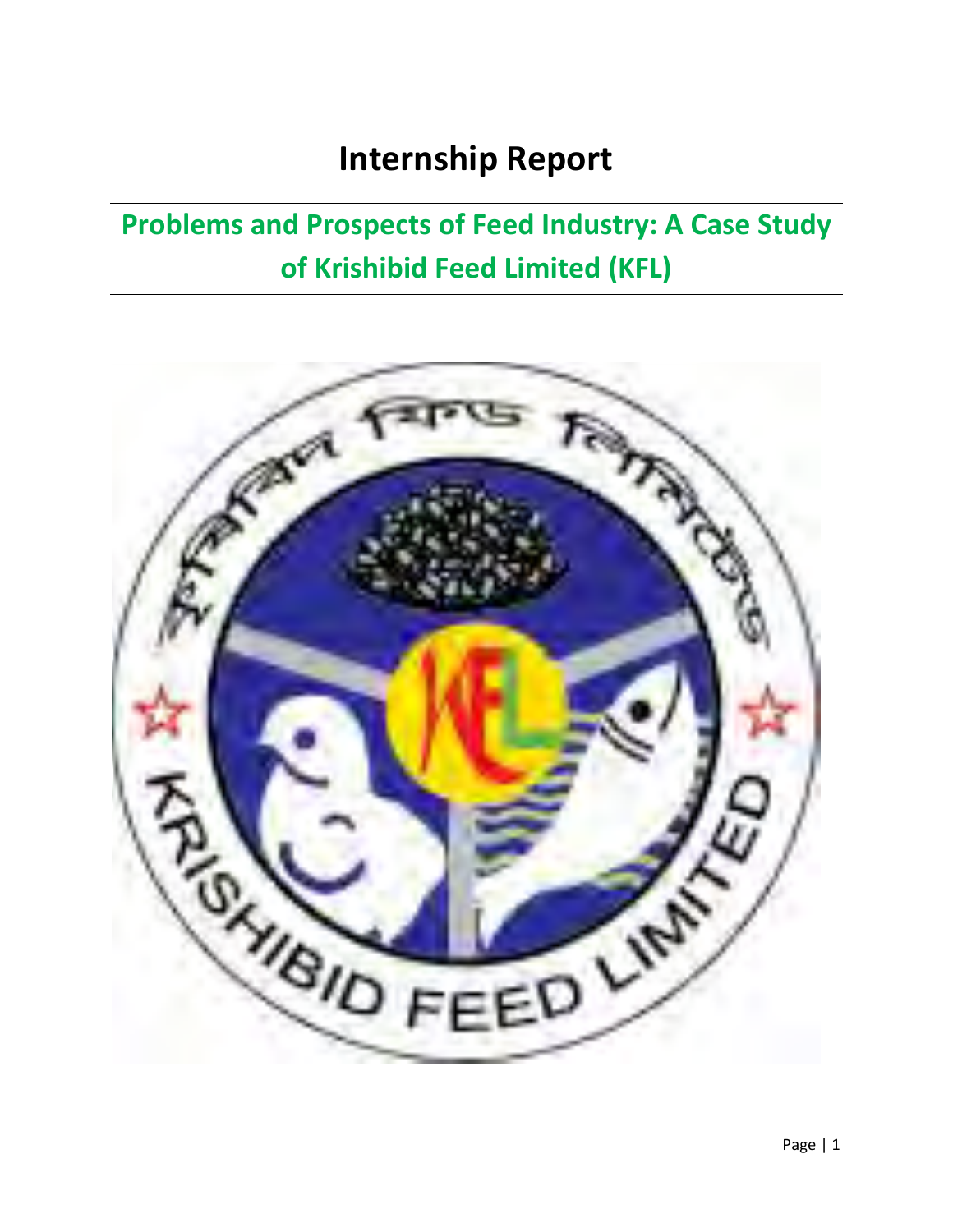## **Internship Report**

## **Problems and Prospects of Feed Industry: A Case Study of Krishibid Feed Limited (KFL)**

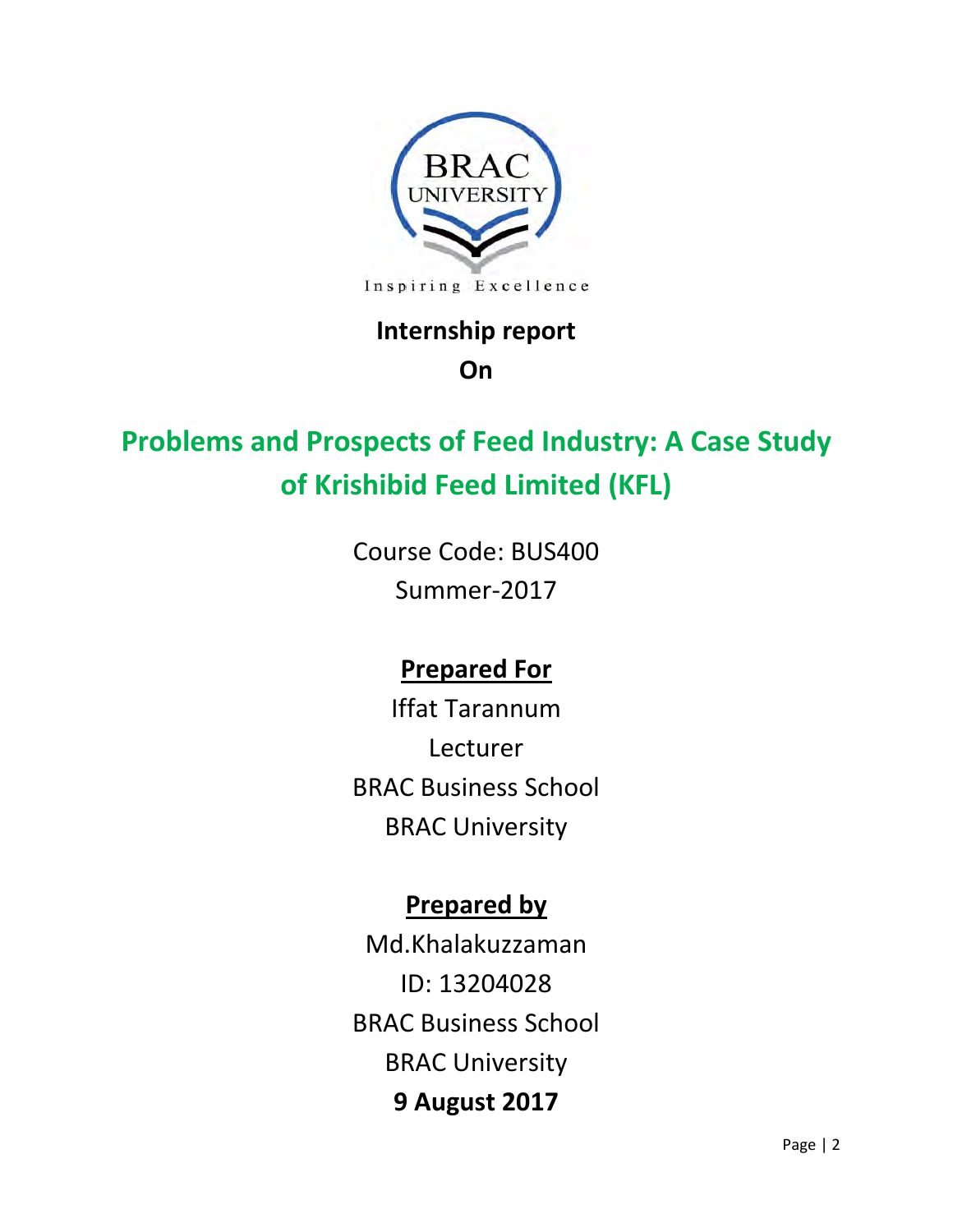

## **Internship report**

## **On**

## **Problems and Prospects of Feed Industry: A Case Study of Krishibid Feed Limited (KFL)**

Course Code: BUS400 Summer-2017

## **Prepared For**

Iffat Tarannum Lecturer BRAC Business School BRAC University

## **Prepared by**

Md.Khalakuzzaman ID: 13204028 BRAC Business School BRAC University **9 August 2017**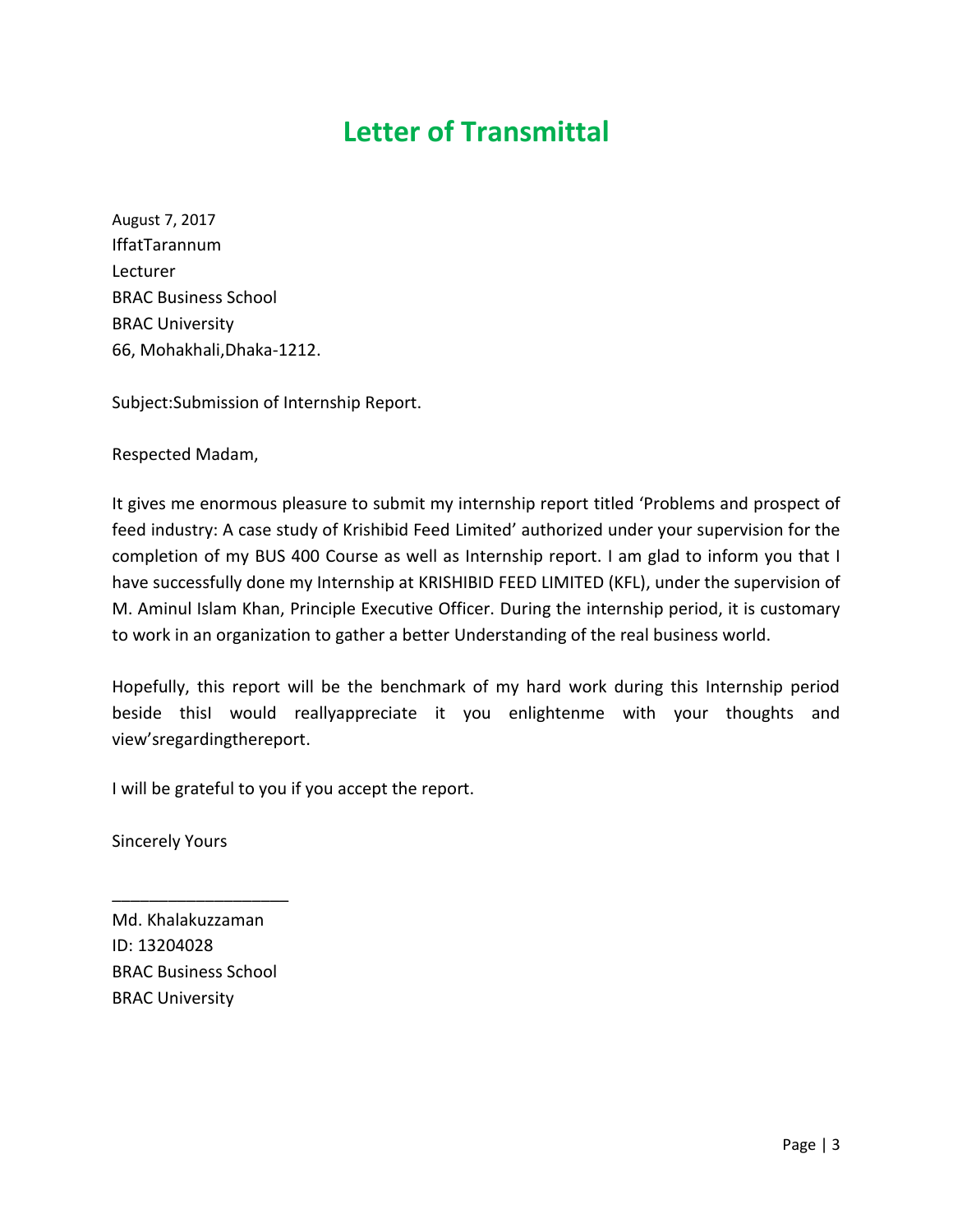## **Letter of Transmittal**

August 7, 2017 IffatTarannum Lecturer BRAC Business School BRAC University 66, Mohakhali,Dhaka-1212.

Subject:Submission of Internship Report.

Respected Madam,

It gives me enormous pleasure to submit my internship report titled 'Problems and prospect of feed industry: A case study of Krishibid Feed Limited' authorized under your supervision for the completion of my BUS 400 Course as well as Internship report. I am glad to inform you that I have successfully done my Internship at KRISHIBID FEED LIMITED (KFL), under the supervision of M. Aminul Islam Khan, Principle Executive Officer. During the internship period, it is customary to work in an organization to gather a better Understanding of the real business world.

Hopefully, this report will be the benchmark of my hard work during this Internship period beside thisI would reallyappreciate it you enlightenme with your thoughts and view'sregardingthereport.

I will be grateful to you if you accept the report.

Sincerely Yours

Md. Khalakuzzaman ID: 13204028 BRAC Business School BRAC University

\_\_\_\_\_\_\_\_\_\_\_\_\_\_\_\_\_\_\_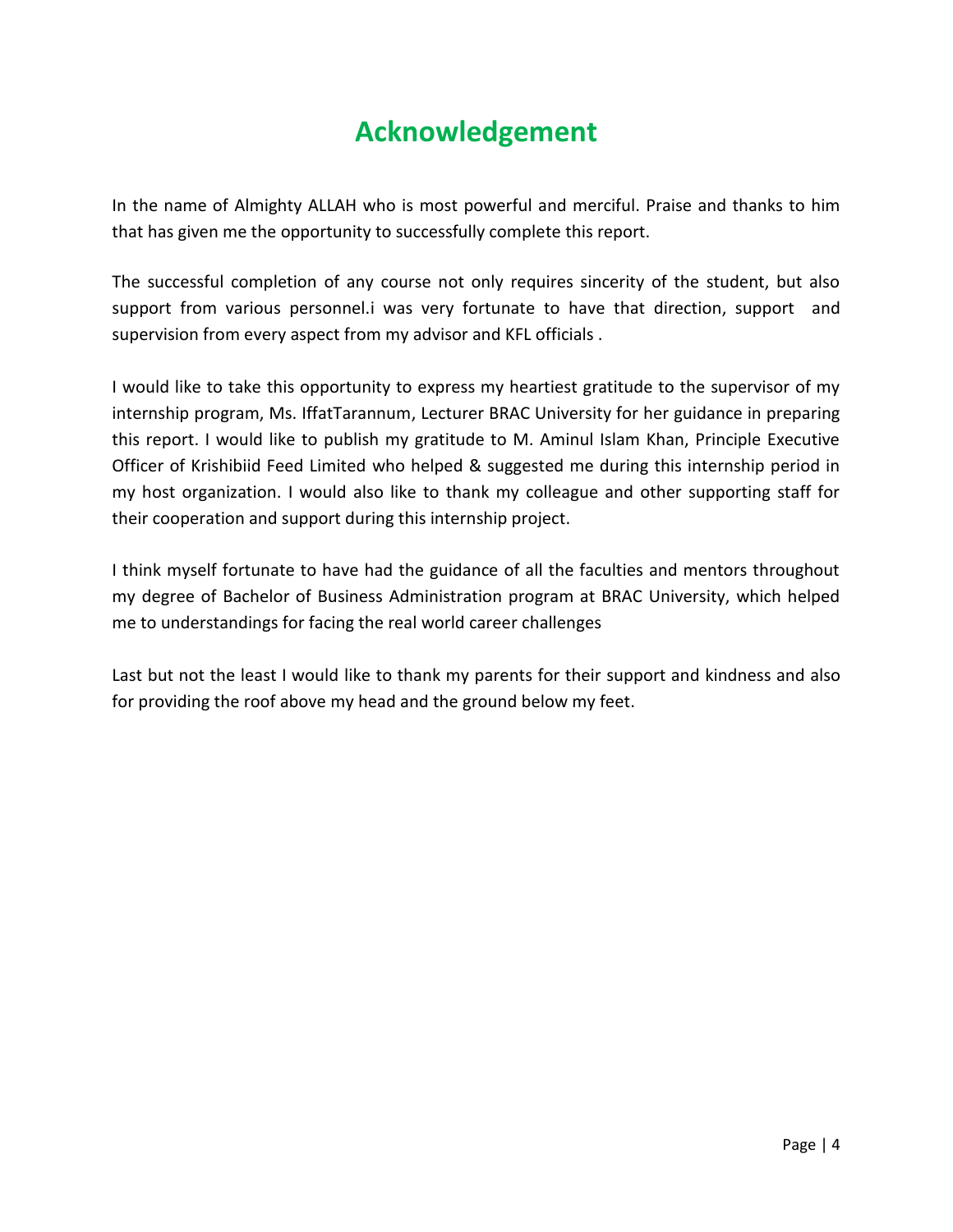## **Acknowledgement**

In the name of Almighty ALLAH who is most powerful and merciful. Praise and thanks to him that has given me the opportunity to successfully complete this report.

The successful completion of any course not only requires sincerity of the student, but also support from various personnel.i was very fortunate to have that direction, support and supervision from every aspect from my advisor and KFL officials .

I would like to take this opportunity to express my heartiest gratitude to the supervisor of my internship program, Ms. IffatTarannum, Lecturer BRAC University for her guidance in preparing this report. I would like to publish my gratitude to M. Aminul Islam Khan, Principle Executive Officer of Krishibiid Feed Limited who helped & suggested me during this internship period in my host organization. I would also like to thank my colleague and other supporting staff for their cooperation and support during this internship project.

I think myself fortunate to have had the guidance of all the faculties and mentors throughout my degree of Bachelor of Business Administration program at BRAC University, which helped me to understandings for facing the real world career challenges

Last but not the least I would like to thank my parents for their support and kindness and also for providing the roof above my head and the ground below my feet.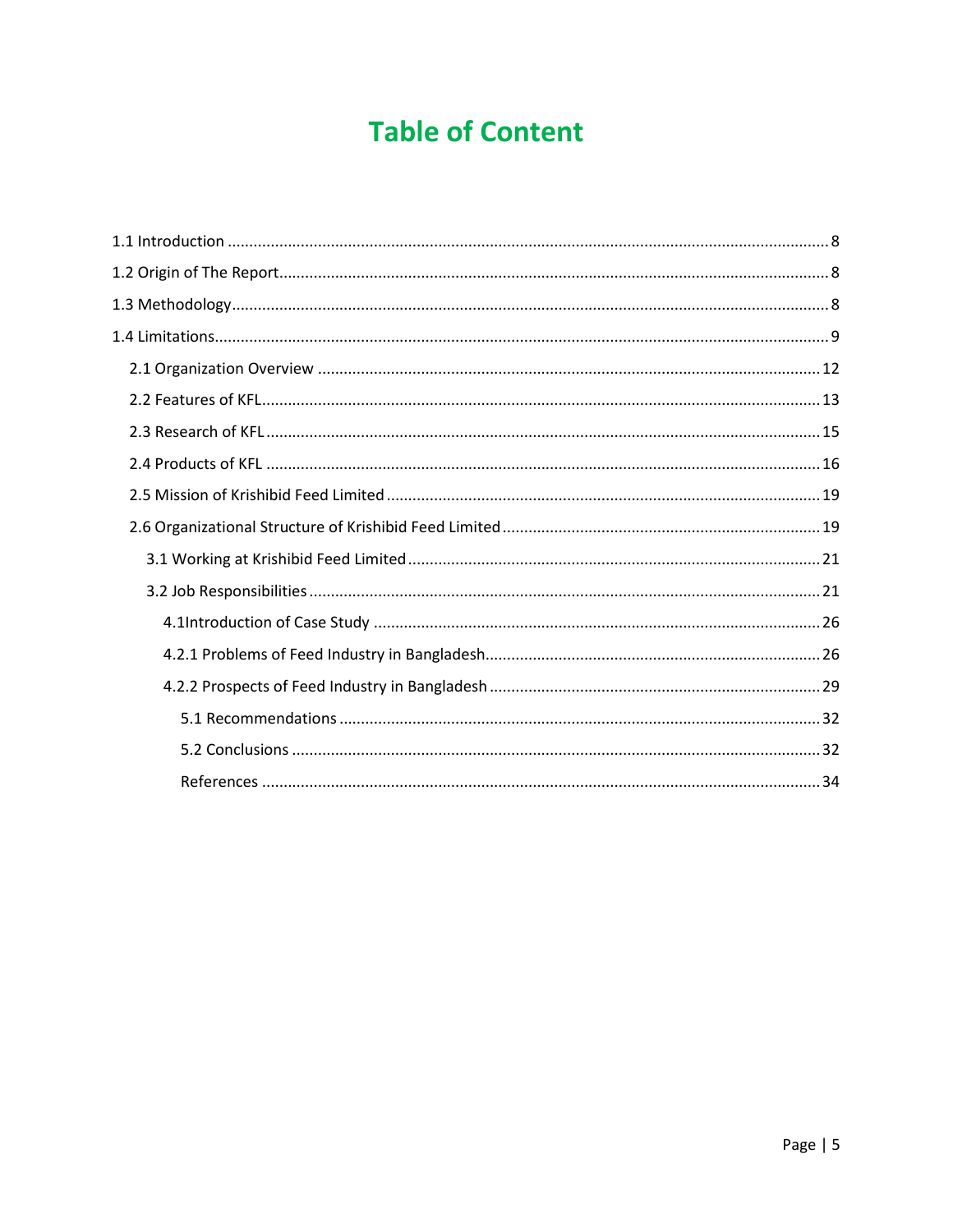## **Table of Content**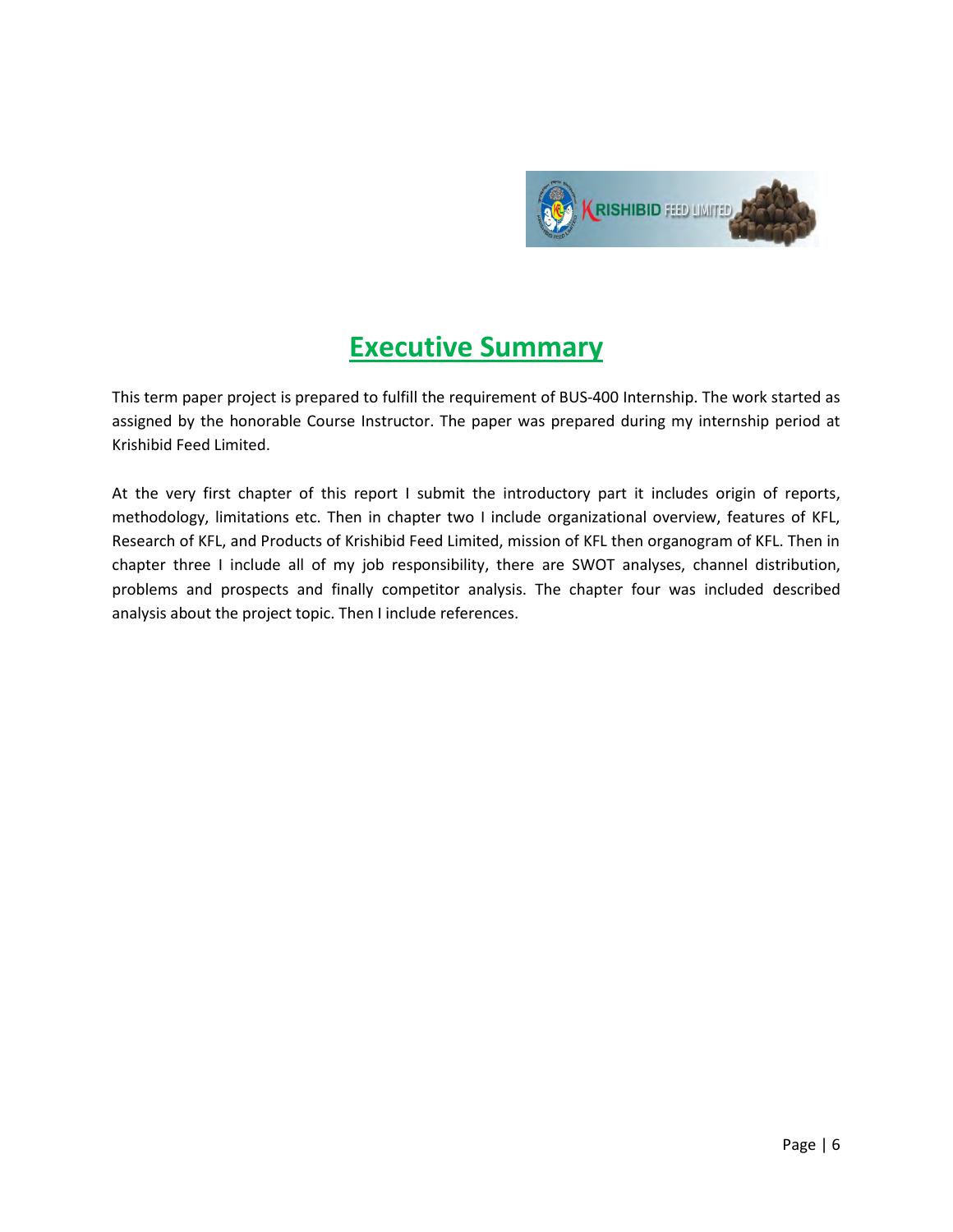

## **Executive Summary**

This term paper project is prepared to fulfill the requirement of BUS-400 Internship. The work started as assigned by the honorable Course Instructor. The paper was prepared during my internship period at Krishibid Feed Limited.

At the very first chapter of this report I submit the introductory part it includes origin of reports, methodology, limitations etc. Then in chapter two I include organizational overview, features of KFL, Research of KFL, and Products of Krishibid Feed Limited, mission of KFL then organogram of KFL. Then in chapter three I include all of my job responsibility, there are SWOT analyses, channel distribution, problems and prospects and finally competitor analysis. The chapter four was included described analysis about the project topic. Then I include references.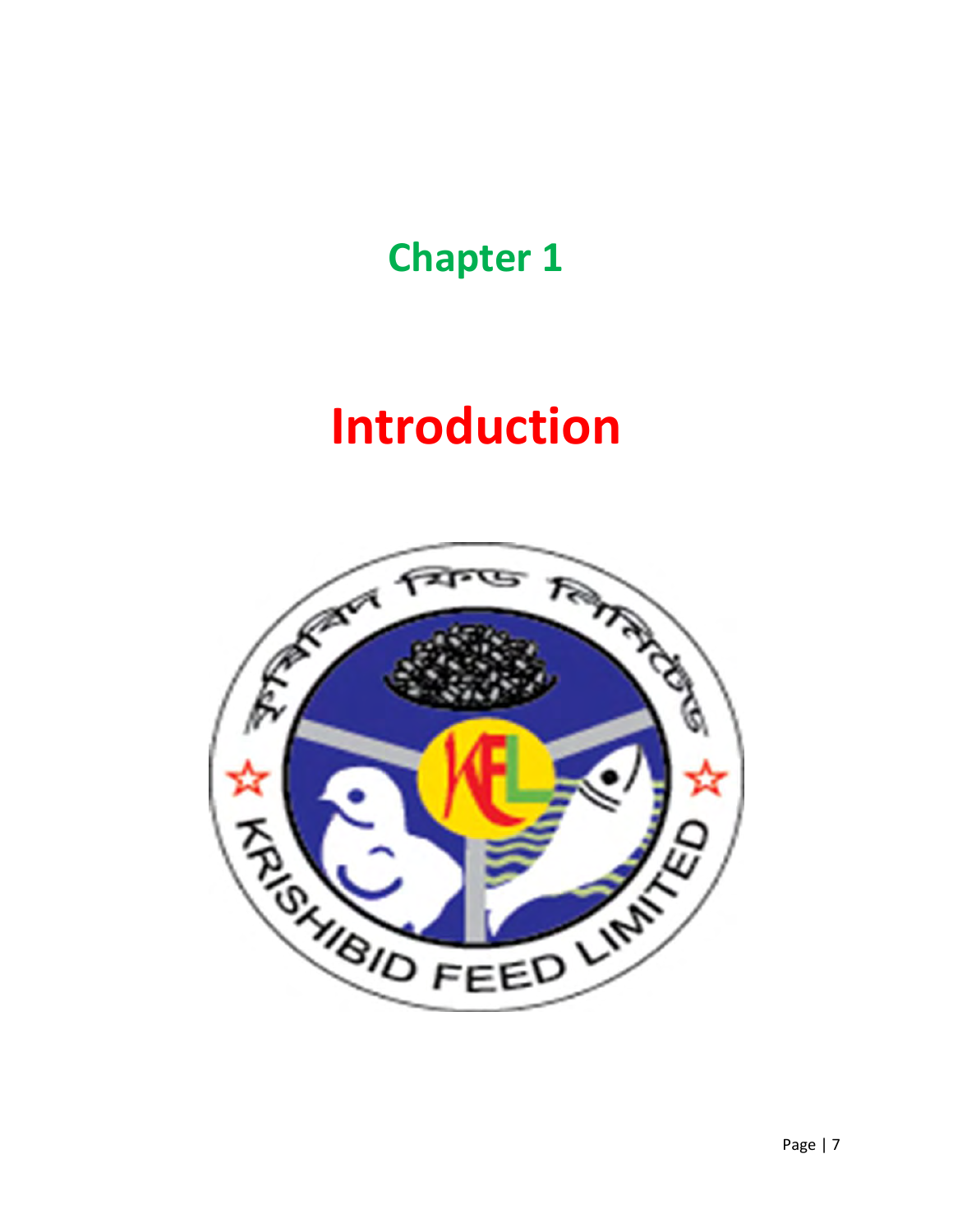## **Chapter 1**

# **Introduction**

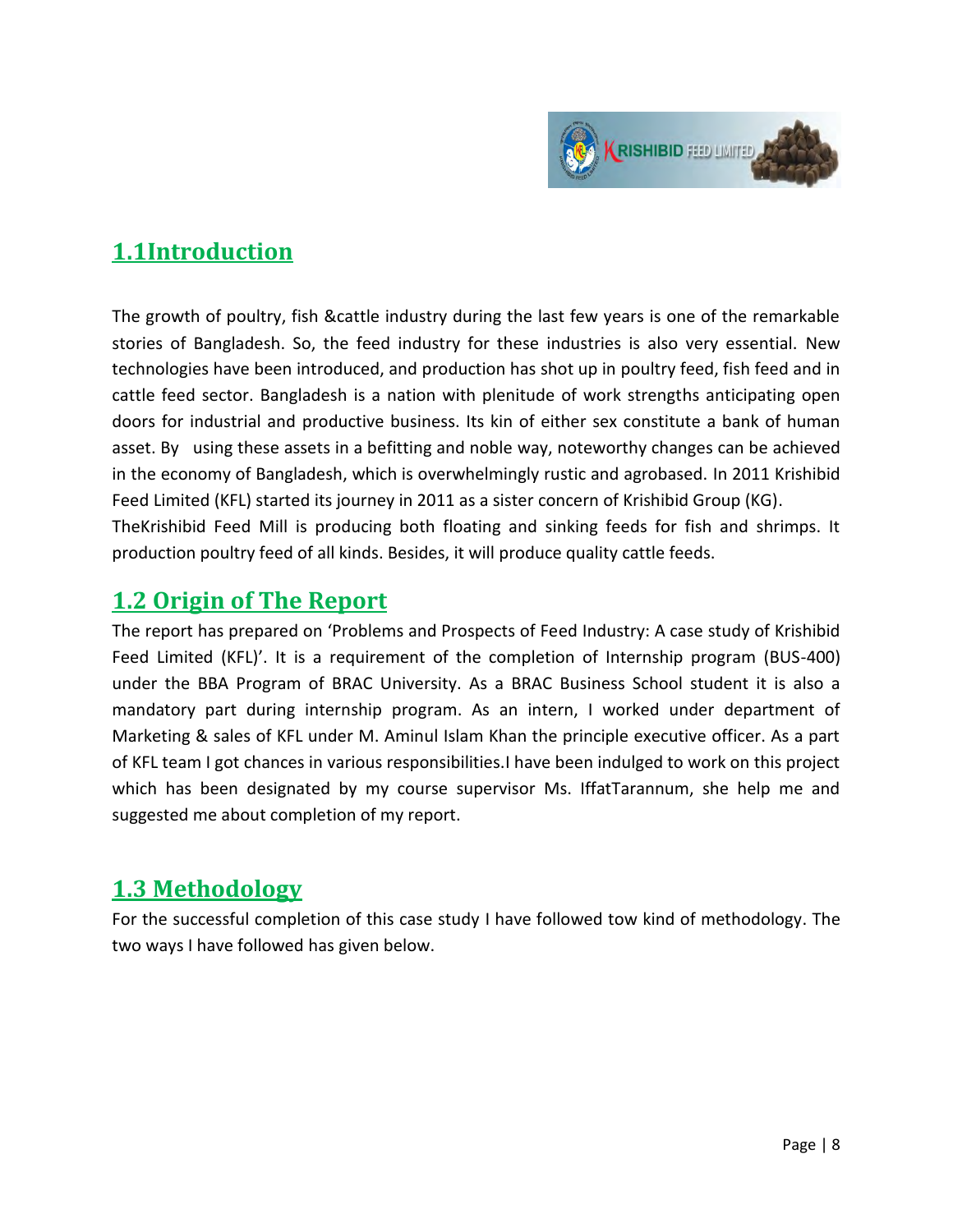

## **1.1Introduction**

The growth of poultry, fish &cattle industry during the last few years is one of the remarkable stories of Bangladesh. So, the feed industry for these industries is also very essential. New technologies have been introduced, and production has shot up in poultry feed, fish feed and in cattle feed sector. Bangladesh is a nation with plenitude of work strengths anticipating open doors for industrial and productive business. Its kin of either sex constitute a bank of human asset. By using these assets in a befitting and noble way, noteworthy changes can be achieved in the economy of Bangladesh, which is overwhelmingly rustic and agrobased. In 2011 Krishibid Feed Limited (KFL) started its journey in 2011 as a sister concern of Krishibid Group (KG). TheKrishibid Feed Mill is producing both floating and sinking feeds for fish and shrimps. It production poultry feed of all kinds. Besides, it will produce quality cattle feeds.

#### **1.2 Origin of The Report**

The report has prepared on 'Problems and Prospects of Feed Industry: A case study of Krishibid Feed Limited (KFL)'. It is a requirement of the completion of Internship program (BUS-400) under the BBA Program of BRAC University. As a BRAC Business School student it is also a mandatory part during internship program. As an intern, I worked under department of Marketing & sales of KFL under M. Aminul Islam Khan the principle executive officer. As a part of KFL team I got chances in various responsibilities.I have been indulged to work on this project which has been designated by my course supervisor Ms. IffatTarannum, she help me and suggested me about completion of my report.

### **1.3 Methodology**

For the successful completion of this case study I have followed tow kind of methodology. The two ways I have followed has given below.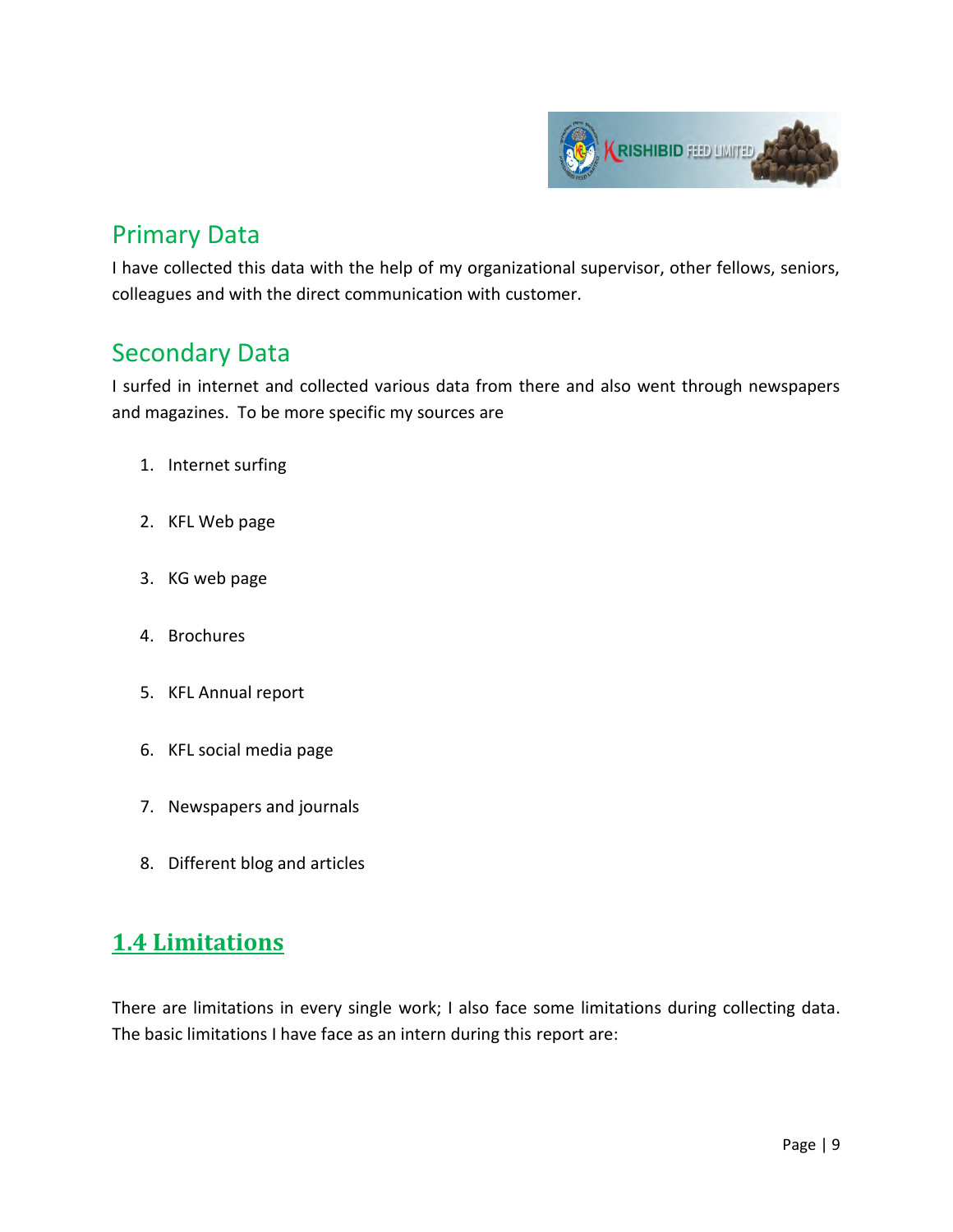

## Primary Data

I have collected this data with the help of my organizational supervisor, other fellows, seniors, colleagues and with the direct communication with customer.

## Secondary Data

I surfed in internet and collected various data from there and also went through newspapers and magazines. To be more specific my sources are

- 1. Internet surfing
- 2. KFL Web page
- 3. KG web page
- 4. Brochures
- 5. KFL Annual report
- 6. KFL social media page
- 7. Newspapers and journals
- 8. Different blog and articles

### **1.4 Limitations**

There are limitations in every single work; I also face some limitations during collecting data. The basic limitations I have face as an intern during this report are: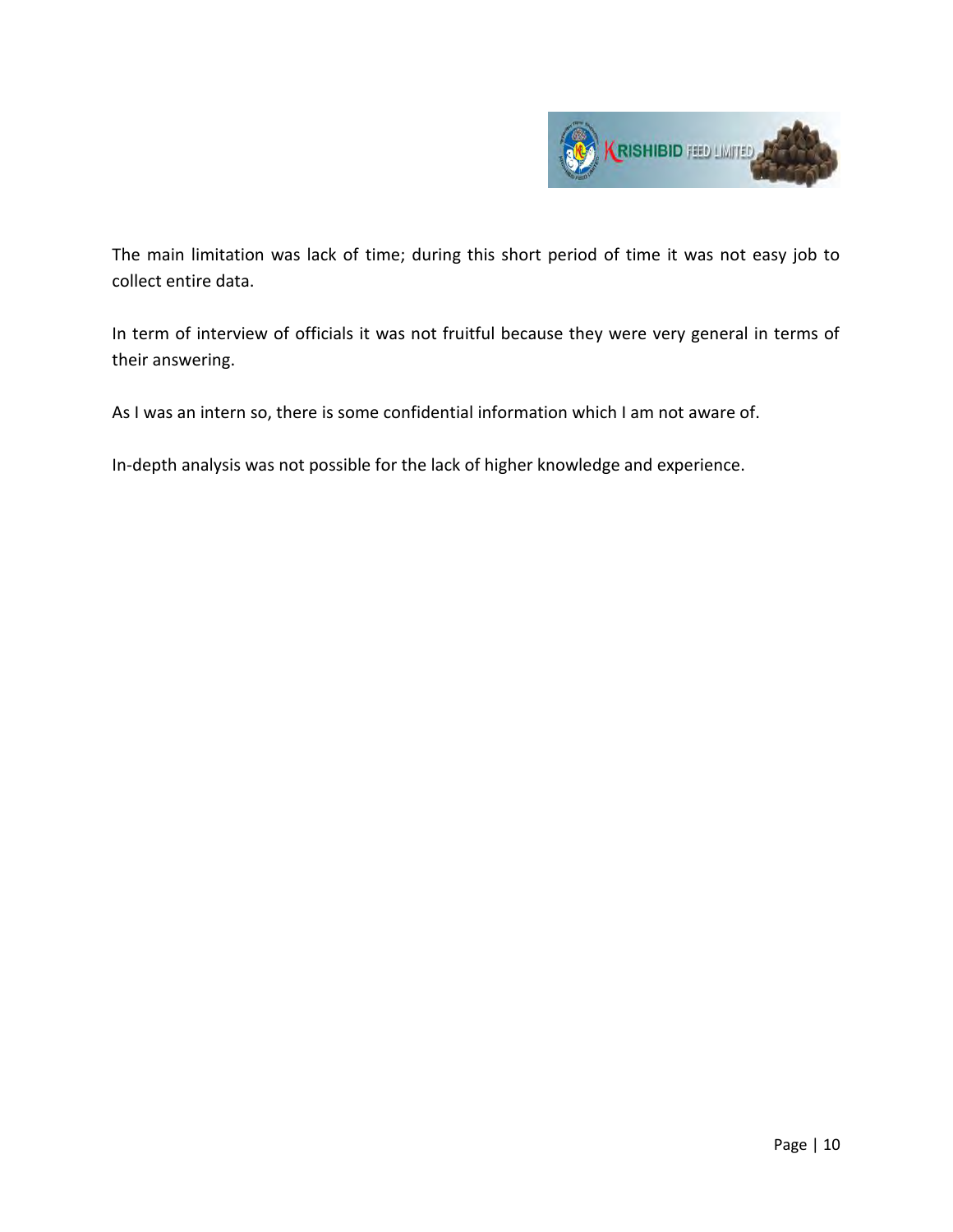

The main limitation was lack of time; during this short period of time it was not easy job to collect entire data.

In term of interview of officials it was not fruitful because they were very general in terms of their answering.

As I was an intern so, there is some confidential information which I am not aware of.

In-depth analysis was not possible for the lack of higher knowledge and experience.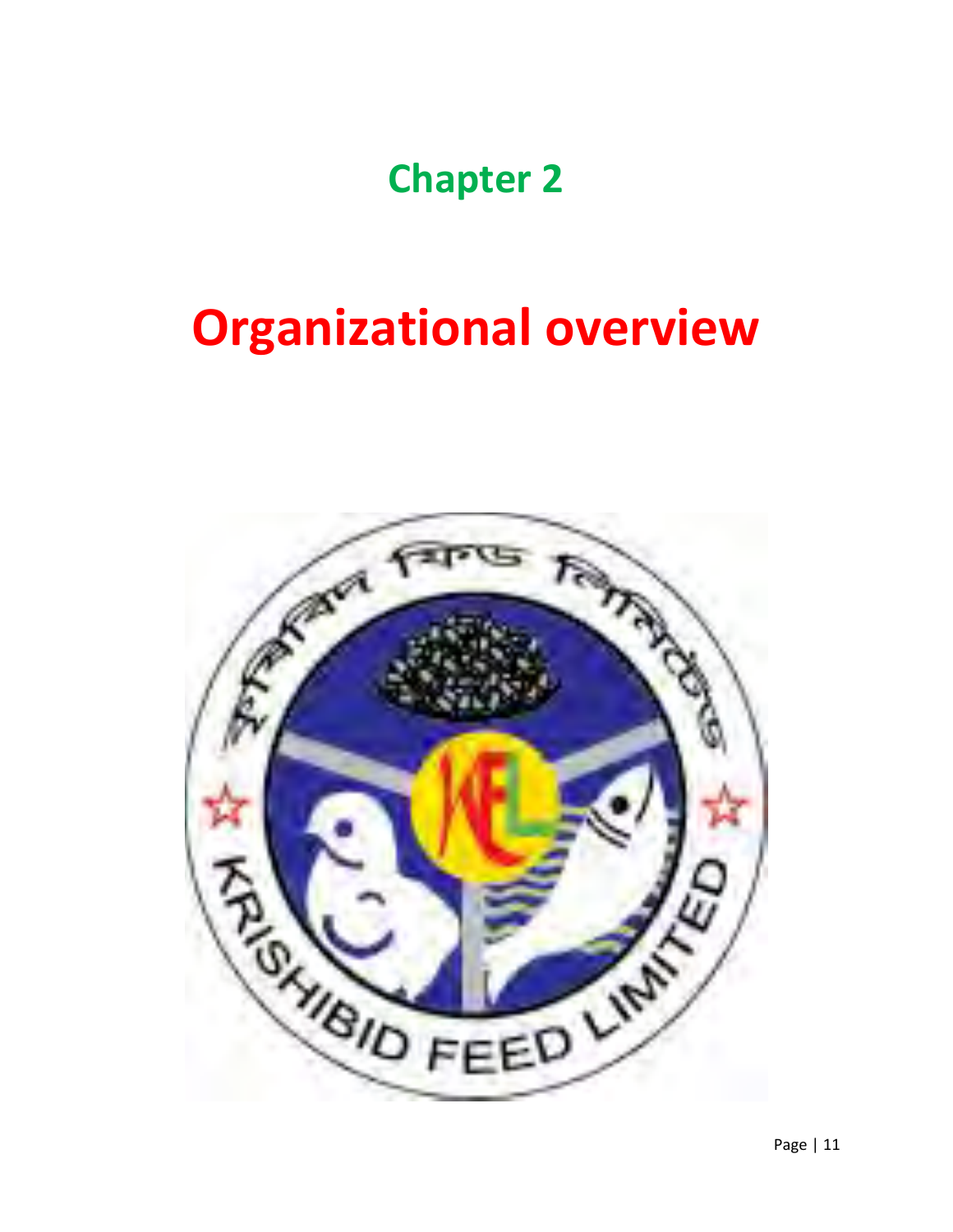## **Chapter 2**

# **Organizational overview**

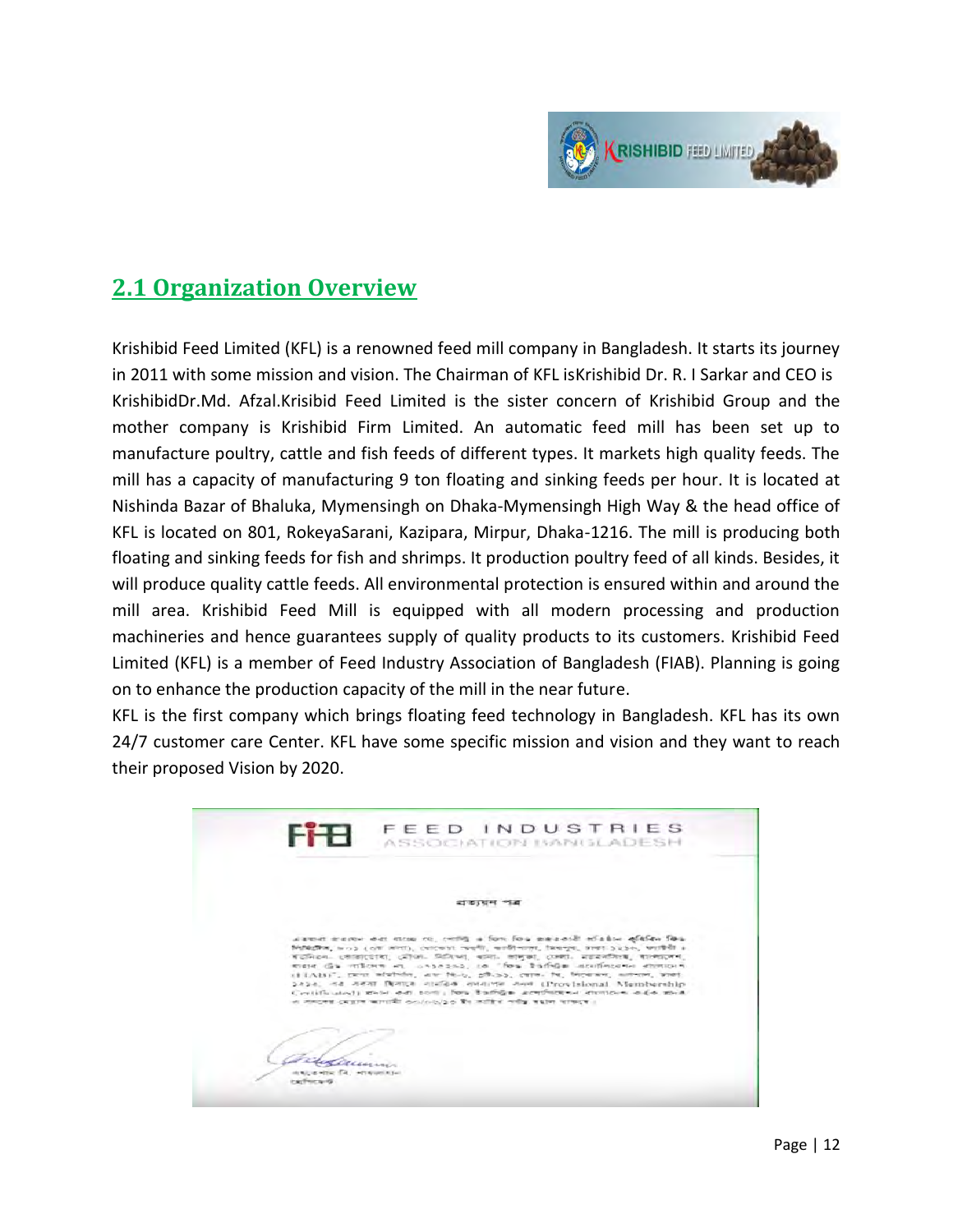

## **2.1 Organization Overview**

Krishibid Feed Limited (KFL) is a renowned feed mill company in Bangladesh. It starts its journey in 2011 with some mission and vision. The Chairman of KFL isKrishibid Dr. R. I Sarkar and CEO is KrishibidDr.Md. Afzal.Krisibid Feed Limited is the sister concern of Krishibid Group and the mother company is Krishibid Firm Limited. An automatic feed mill has been set up to manufacture poultry, cattle and fish feeds of different types. It markets high quality feeds. The mill has a capacity of manufacturing 9 ton floating and sinking feeds per hour. It is located at Nishinda Bazar of Bhaluka, Mymensingh on Dhaka-Mymensingh High Way & the head office of KFL is located on 801, RokeyaSarani, Kazipara, Mirpur, Dhaka-1216. The mill is producing both floating and sinking feeds for fish and shrimps. It production poultry feed of all kinds. Besides, it will produce quality cattle feeds. All environmental protection is ensured within and around the mill area. Krishibid Feed Mill is equipped with all modern processing and production machineries and hence guarantees supply of quality products to its customers. Krishibid Feed Limited (KFL) is a member of Feed Industry Association of Bangladesh (FIAB). Planning is going on to enhance the production capacity of the mill in the near future.

KFL is the first company which brings floating feed technology in Bangladesh. KFL has its own 24/7 customer care Center. KFL have some specific mission and vision and they want to reach their proposed Vision by 2020.

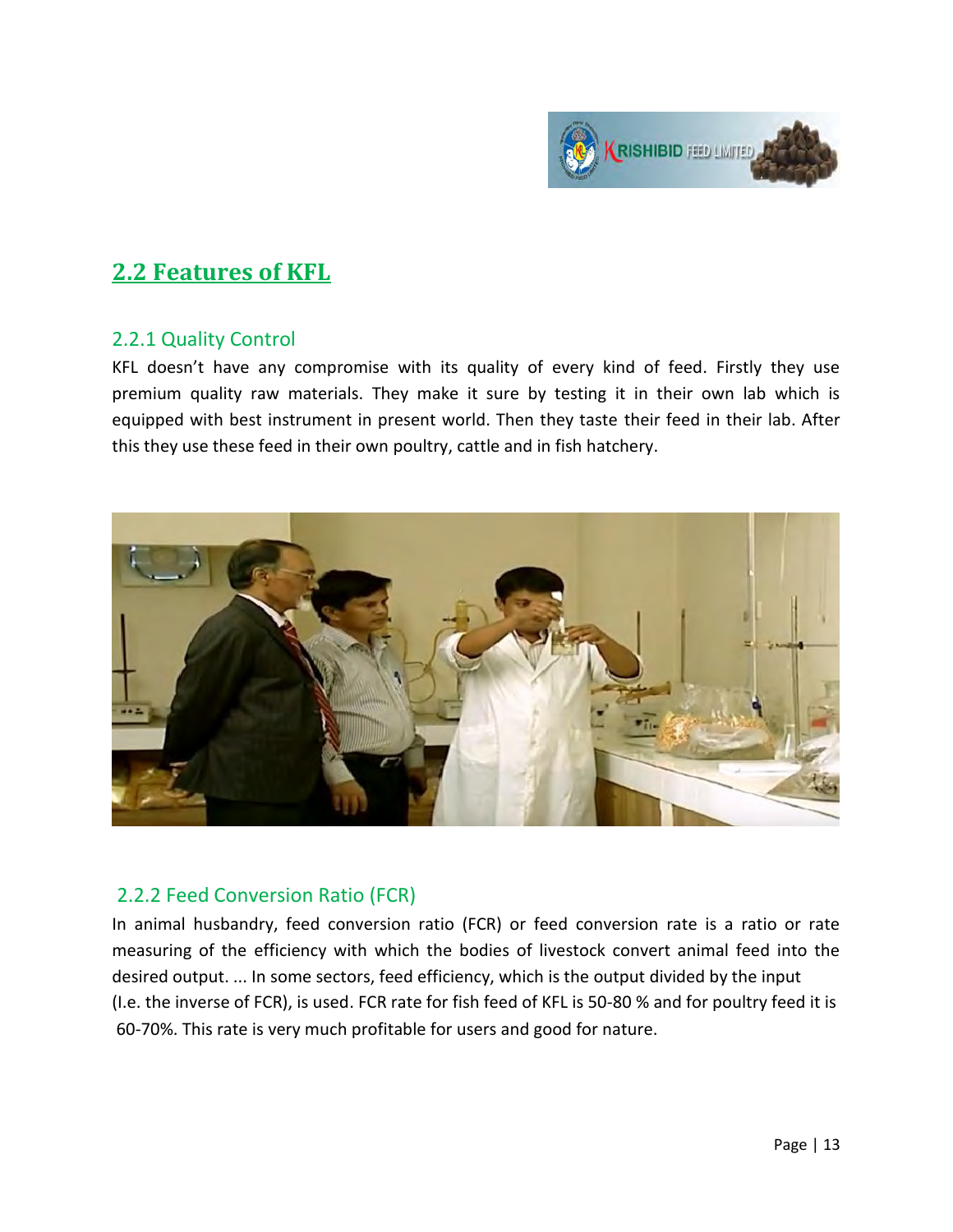

## **2.2 Features of KFL**

#### 2.2.1 Quality Control

KFL doesn't have any compromise with its quality of every kind of feed. Firstly they use premium quality raw materials. They make it sure by testing it in their own lab which is equipped with best instrument in present world. Then they taste their feed in their lab. After this they use these feed in their own poultry, cattle and in fish hatchery.



#### 2.2.2 Feed Conversion Ratio (FCR)

In animal husbandry, feed conversion ratio (FCR) or feed conversion rate is a ratio or rate measuring of the efficiency with which the bodies of livestock convert animal feed into the desired output. ... In some sectors, feed efficiency, which is the output divided by the input (I.e. the inverse of FCR), is used. FCR rate for fish feed of KFL is 50-80 % and for poultry feed it is 60-70%. This rate is very much profitable for users and good for nature.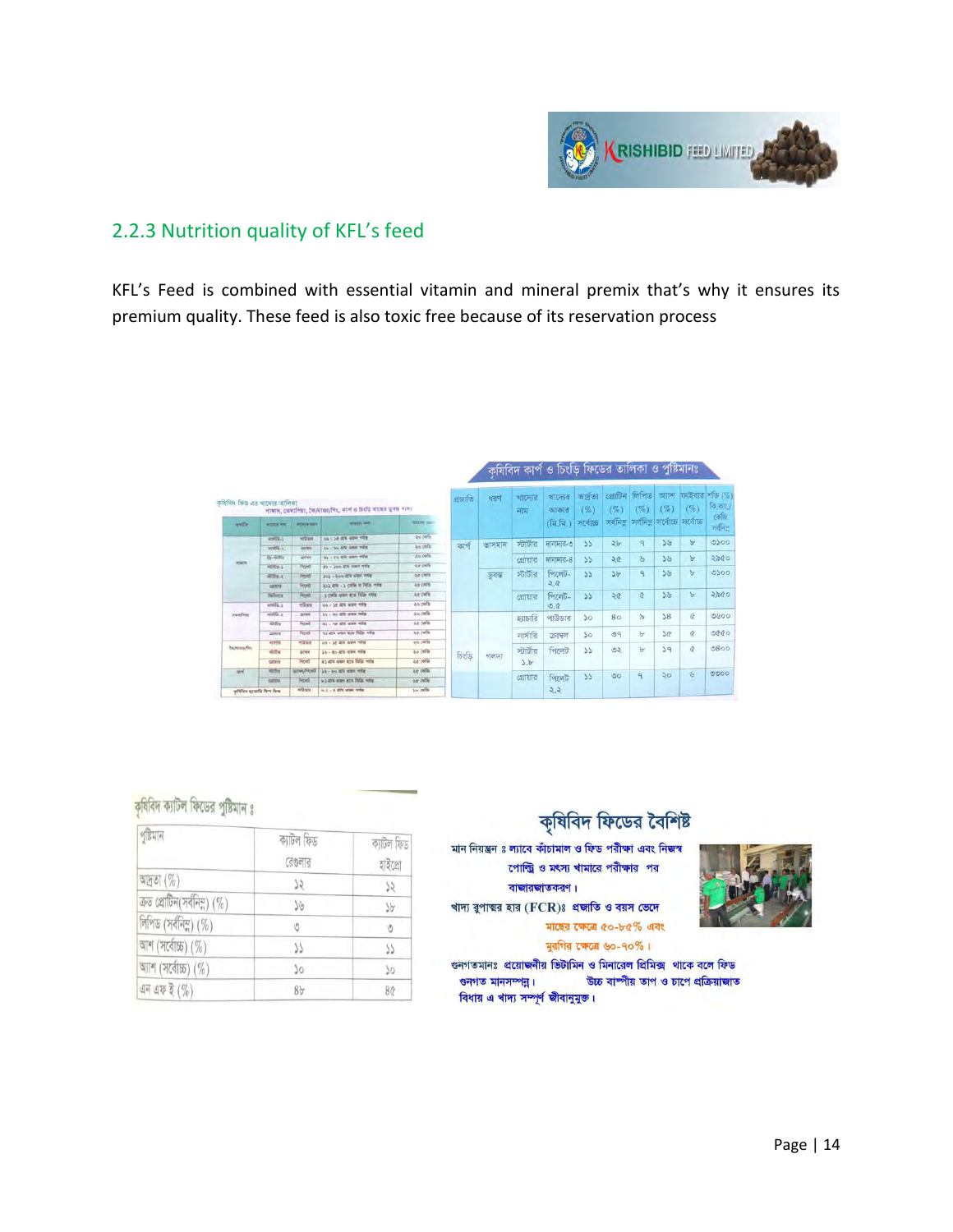

#### 2.2.3 Nutrition quality of KFL's feed

KFL's Feed is combined with essential vitamin and mineral premix that's why it ensures its premium quality. These feed is also toxic free because of its reservation process

| कविविध किछ उन्हें चाटमाड कालिका |                     |                    | পাস্কাদ, camifres, ইক/মাতব/দিং, কার্প ও চিগ্রা মাছের ত্বরঙ খাদ্য |                   | প্ৰজাতি | ধরণ             | খাদ্যের<br>नाय | খাদ্যের<br>আকার                                | অৰ্দ্ৰতা<br>(%) | द्याजिन<br>$(\%)$<br>সৰ্বনিম | লিপিড<br>(%)   | $(\%)$<br>সর্বনিম সর্বোচ্চ সর্বোচ্চ | আৰ কাইবার শক্তি (%)<br>(%) | কি.ক্যা./<br>কেজি |      |
|---------------------------------|---------------------|--------------------|------------------------------------------------------------------|-------------------|---------|-----------------|----------------|------------------------------------------------|-----------------|------------------------------|----------------|-------------------------------------|----------------------------|-------------------|------|
| <b><i>seuth</i></b>             | <b>WITHEW WIN</b>   | <b>WITHIN MICH</b> | 401003-009                                                       | <b>MODAR SEAT</b> |         |                 |                | $(\widehat{\mathbb{H}}, \widehat{\mathbb{H}})$ | সৰ্বোচ্চ        |                              |                |                                     |                            | जवनिस             |      |
|                                 | <b>CHIES</b>        | <b>POTATO</b>      | 04 - 22 ATX 004 YES                                              | <b>46.00 in</b>   |         |                 |                |                                                |                 |                              |                | 56                                  | b                          | 0500              |      |
|                                 | WW56-a              | press              | 39 - 39 474 984 448                                              | 26 Offi-          |         | ভাসমান<br>কাৰ্প | স্টার্টার      | দানাদার-৩                                      | $\mathcal{L}$   | 2b                           | $\overline{a}$ |                                     |                            |                   |      |
| <b>NORTH</b>                    | $E_2$ . slightly    | <b>INK</b>         | 45 - Pt 4% swe ver                                               | zo (ofu           |         |                 |                | গোয়ার                                         | দানাদার-৪       | $\mathcal{L}$                | 20             | $\mathcal{G}$                       | 56                         | $\mathbf b$       | 2800 |
|                                 | virtin <sub>3</sub> | <b>Throw</b>       | <b>P3 - 200 ATE WAR WER</b>                                      | -se cella         |         |                 |                |                                                |                 |                              |                |                                     |                            |                   |      |
|                                 | $40.74 - 1$         | H <sub>0</sub>     | 3112 - boo diff wine refu                                        | <b>40.00%</b>     |         | ডবৰ্ড           | স্টার্টার      | পিলেট-<br>55                                   |                 | 3b                           | ٩              | 39                                  | $\mathbf{b}$               | 0500              |      |
|                                 | cerent              | <b>Fricata</b>     | and are - a colle to fells refer                                 | ap only           |         |                 |                | 2.0                                            |                 |                              |                |                                     |                            |                   |      |
|                                 | <b>Telesta</b>      | Front              | а сиба отне ега тепа что                                         | At yells          |         |                 |                | গ্রোয়ার                                       | পিলেট-          | 55                           | 20             | $\alpha$                            | 56                         | $\mathbf{b}$      | ১৯৫০ |
| painting                        | 100004.5            | $-2x$              | on - he are was only                                             | as only           |         |                 |                | O, C                                           |                 |                              |                |                                     |                            |                   |      |
|                                 | $47054 - 2$         | are                | 55 - Bo ATK 4500 WWW                                             | as pela           |         |                 | হ্যাচারি       | পাউডার                                         | 50              | 80                           | $\frac{1}{2}$  | 58                                  | $\alpha$                   | 0600              |      |
|                                 | William             | Ficks              | 03 - he are wan vote                                             | an oefer          |         |                 |                |                                                |                 |                              |                |                                     |                            |                   |      |
|                                 | <b>CHENNIE</b>      | Texa               | As are you are fells wife                                        | ae celle          |         |                 | নার্সারি       | ক্ৰাম্বল                                       | 50              | 09                           | $b^r$          | 5Q                                  | $\dot{a}$                  | 0000              |      |
| bioteconfilm                    | verifi              | <b>HORSE</b>       | on - 14 dix yes were                                             | 20 cells          |         |                 |                |                                                |                 |                              |                |                                     | $\alpha$                   | 0800              |      |
|                                 | <b>VDDS</b>         | area               | 26 - 80 STR ONK YOR                                              | An only           | টিংডি   | গলদা            | স্টার্টার      | পিলেট                                          | 55              | 52                           | b              | 39                                  |                            |                   |      |
|                                 | serve               | Front              | as are one are fells win                                         | zo cella          |         |                 | 2.5            |                                                |                 |                              |                |                                     |                            |                   |      |
| $-$                             | <b>VED-4</b>        | штем, Лясиб        | $34 - 84.476$ was rely                                           | 44 own            |         |                 |                |                                                | 35              | $\circ$                      | ٩              | $50^{\circ}$                        | $\mathfrak{G}$             | 0000              |      |
|                                 | <b>Lines</b>        | Fepda              | wa strk stars are fields voted                                   | ag cylin          |         |                 | গ্রোয়ার       | পিলেট                                          |                 |                              |                |                                     |                            |                   |      |
| aftlin until Net No.            |                     | <b>HOSTA</b>       | 4.2 - 2 EV over 109                                              | be own            |         |                 |                | 2.2                                            |                 |                              |                |                                     |                            |                   |      |

#### কৃষিবিদ ক্যাটল ফিডের পুষ্টিমান ঃ

| পুষ্টিমান                      | ক্যাটল ফিড<br>রেণ্ডলার | ক্যাটল ফিড<br>হাইগ্ৰো |
|--------------------------------|------------------------|-----------------------|
| আদতা $(\%)$                    | 75                     | 52                    |
| ক্ৰড প্ৰোটিন(সৰ্বনিম্ন) $(\%)$ | $J\mathcal{G}$         | $\sqrt[3]{\sigma}$    |
| লিপিড (সর্বনিম্ন) (%)          | P)                     | Ó                     |
| আশ (সর্বোচ্চ) (%)              | 77                     | 77                    |
| আশ (সর্বোচ্চ) (%)              | 50                     | 50                    |
| এন এফ ই $(\%)$                 | 8 <sub>b</sub>         | 80 <sup>°</sup>       |

#### কৃষিবিদ ফিডের বৈশিষ্ট

মান নিয়ন্ত্রন ঃ ল্যাবে কাঁচামাল ও ফিড পরীক্ষা এবং নিজস্ব পোল্ট্রি ও মৎস্য খামারে পরীক্ষার পর

#### বাজারজাতকরণ।

খাদ্য বুপাত্মর হার (FCR)ঃ প্রজাতি ও বয়স ভেদে

মাছের ক্ষেত্রে ৫০-৮৫% এবং মুরগির ক্ষেত্রে ৬০-৭০%।

গুনগতমানঃ প্রয়োজনীয় ভিটামিন ও মিনারেল প্রিমিক্স থাকে বলে ফিড উচ্চ বাম্পীয় তাপ ও চাপে প্রক্রিয়াজাত গুনগত মানসম্পন্ন। বিধায় এ খাদ্য সম্পূর্ণ জীবানুমুক্ত।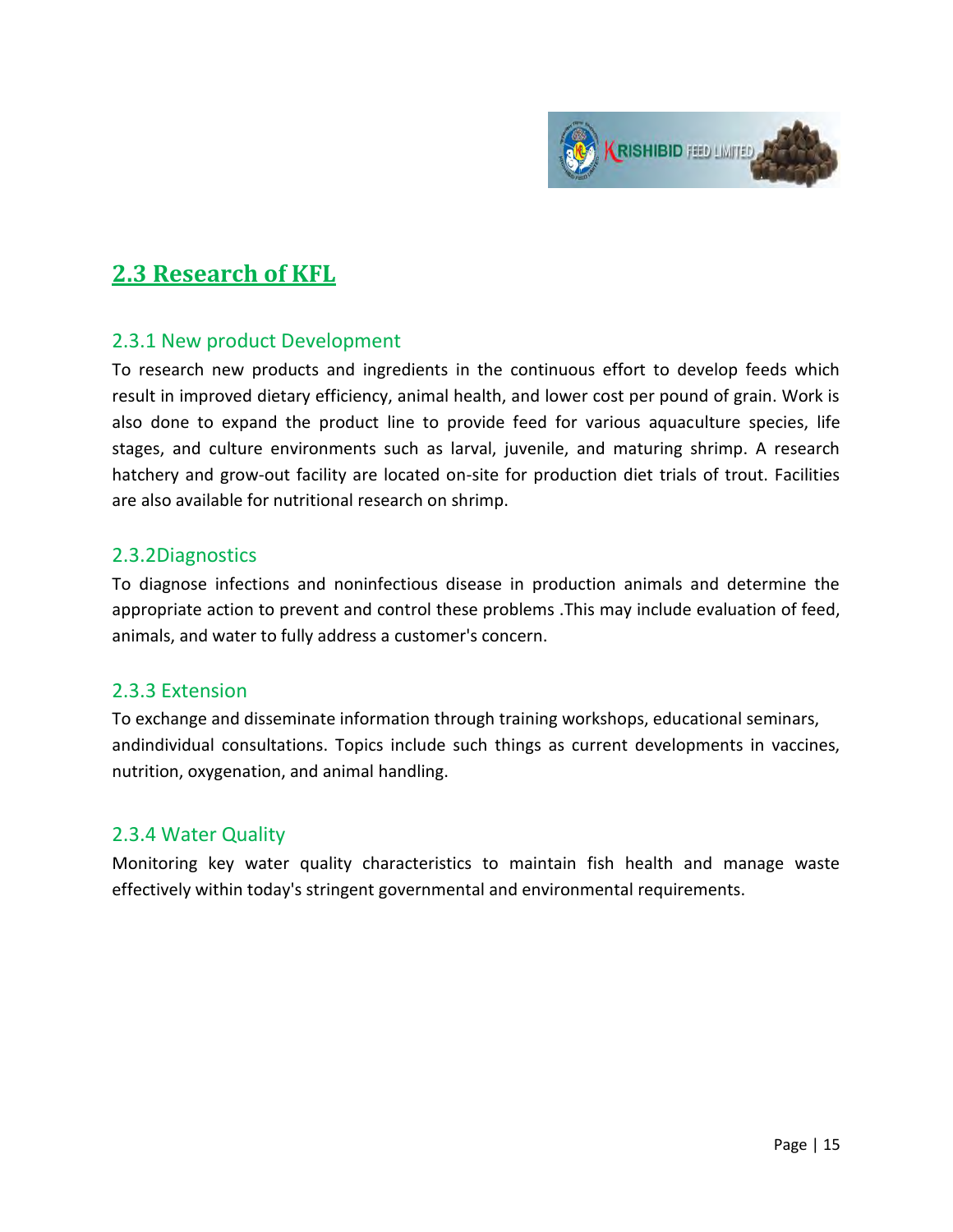

### **2.3 Research of KFL**

#### 2.3.1 New product Development

To research new products and ingredients in the continuous effort to develop feeds which result in improved dietary efficiency, animal health, and lower cost per pound of grain. Work is also done to expand the product line to provide feed for various aquaculture species, life stages, and culture environments such as larval, juvenile, and maturing shrimp. A research hatchery and grow-out facility are located on-site for production diet trials of trout. Facilities are also available for nutritional research on shrimp.

#### 2.3.2Diagnostics

To diagnose infections and noninfectious disease in production animals and determine the appropriate action to prevent and control these problems .This may include evaluation of feed, animals, and water to fully address a customer's concern.

#### 2.3.3 Extension

To exchange and disseminate information through training workshops, educational seminars, andindividual consultations. Topics include such things as current developments in vaccines, nutrition, oxygenation, and animal handling.

#### 2.3.4 Water Quality

Monitoring key water quality characteristics to maintain fish health and manage waste effectively within today's stringent governmental and environmental requirements.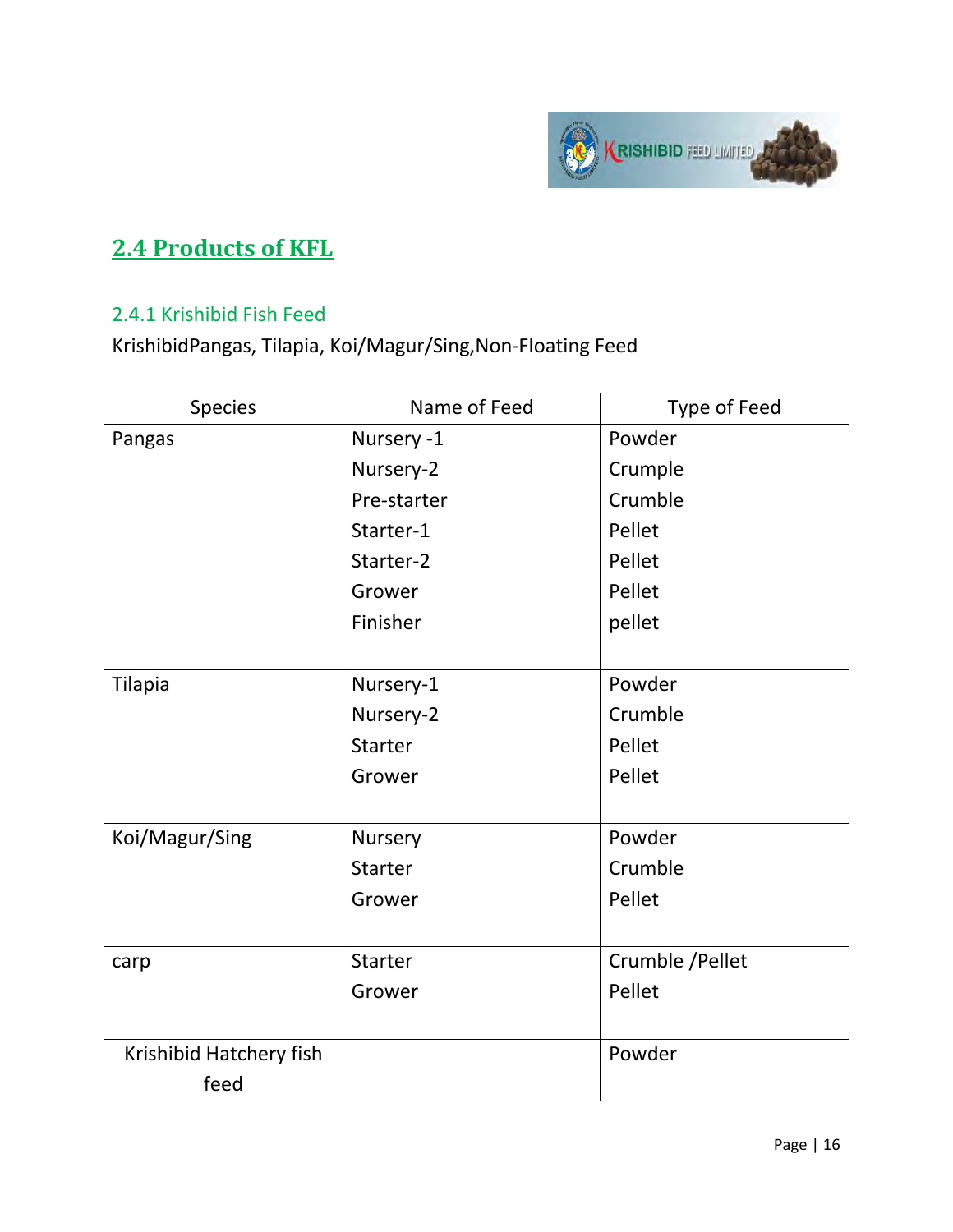

## **2.4 Products of KFL**

#### 2.4.1 Krishibid Fish Feed

KrishibidPangas, Tilapia, Koi/Magur/Sing,Non-Floating Feed

| <b>Species</b>          | Name of Feed   | Type of Feed     |
|-------------------------|----------------|------------------|
| Pangas                  | Nursery -1     | Powder           |
|                         | Nursery-2      | Crumple          |
|                         | Pre-starter    | Crumble          |
|                         | Starter-1      | Pellet           |
|                         | Starter-2      | Pellet           |
|                         | Grower         | Pellet           |
|                         | Finisher       | pellet           |
|                         |                |                  |
| <b>Tilapia</b>          | Nursery-1      | Powder           |
|                         | Nursery-2      | Crumble          |
|                         | <b>Starter</b> | Pellet           |
|                         | Grower         | Pellet           |
|                         |                |                  |
| Koi/Magur/Sing          | Nursery        | Powder           |
|                         | <b>Starter</b> | Crumble          |
|                         | Grower         | Pellet           |
|                         |                |                  |
| carp                    | <b>Starter</b> | Crumble / Pellet |
|                         | Grower         | Pellet           |
|                         |                |                  |
| Krishibid Hatchery fish |                | Powder           |
| feed                    |                |                  |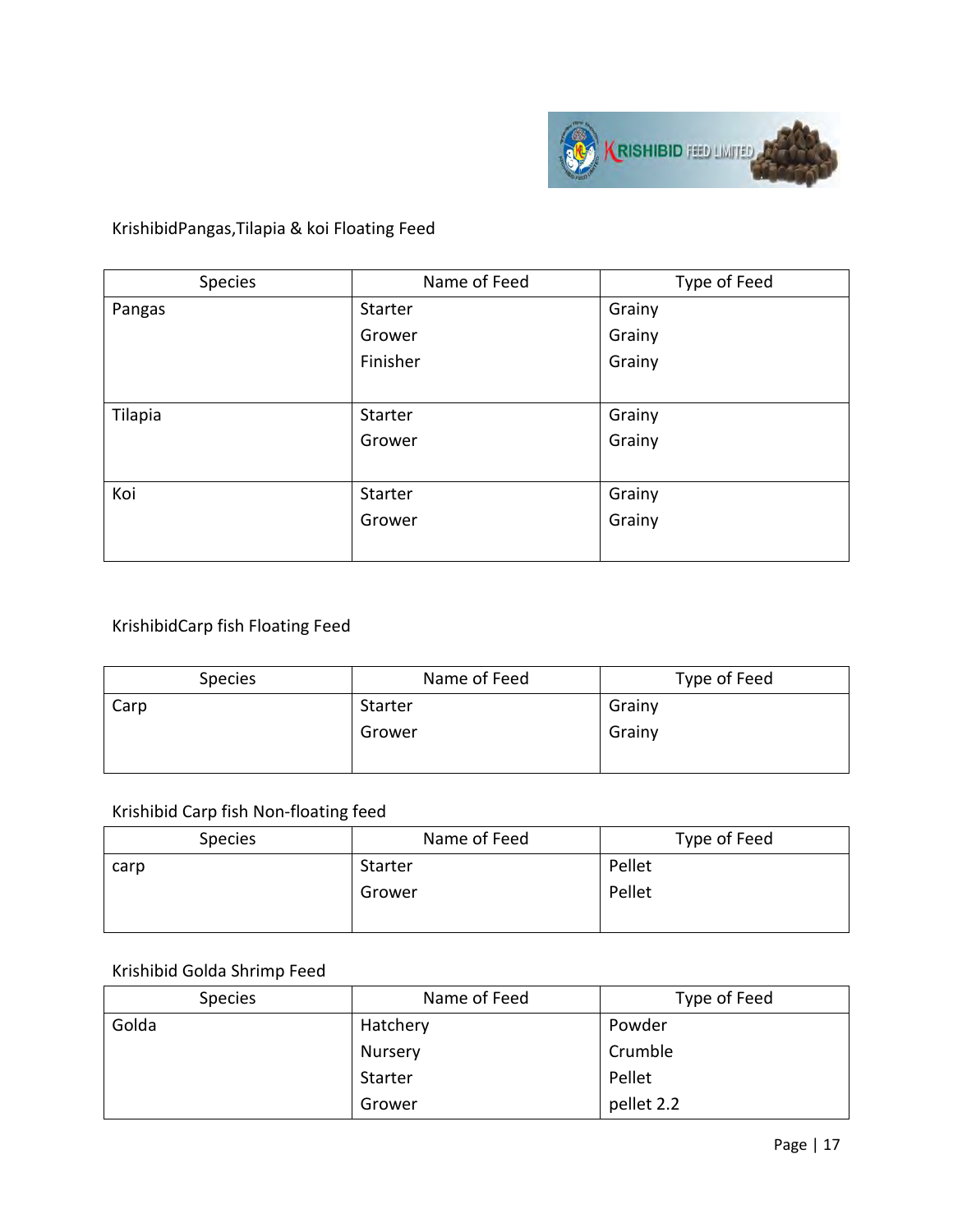

#### KrishibidPangas,Tilapia & koi Floating Feed

| Species | Name of Feed | Type of Feed |
|---------|--------------|--------------|
| Pangas  | Starter      | Grainy       |
|         | Grower       | Grainy       |
|         | Finisher     | Grainy       |
|         |              |              |
| Tilapia | Starter      | Grainy       |
|         | Grower       | Grainy       |
|         |              |              |
| Koi     | Starter      | Grainy       |
|         | Grower       | Grainy       |
|         |              |              |

#### KrishibidCarp fish Floating Feed

| <b>Species</b> | Name of Feed | Type of Feed |
|----------------|--------------|--------------|
| Carp           | Starter      | Grainy       |
|                | Grower       | Grainy       |
|                |              |              |

#### Krishibid Carp fish Non-floating feed

| <b>Species</b> | Name of Feed | Type of Feed |
|----------------|--------------|--------------|
| carp           | Starter      | Pellet       |
|                | Grower       | Pellet       |

#### Krishibid Golda Shrimp Feed

| <b>Species</b> | Name of Feed | Type of Feed |
|----------------|--------------|--------------|
| Golda          | Hatchery     | Powder       |
|                | Nursery      | Crumble      |
|                | Starter      | Pellet       |
|                | Grower       | pellet 2.2   |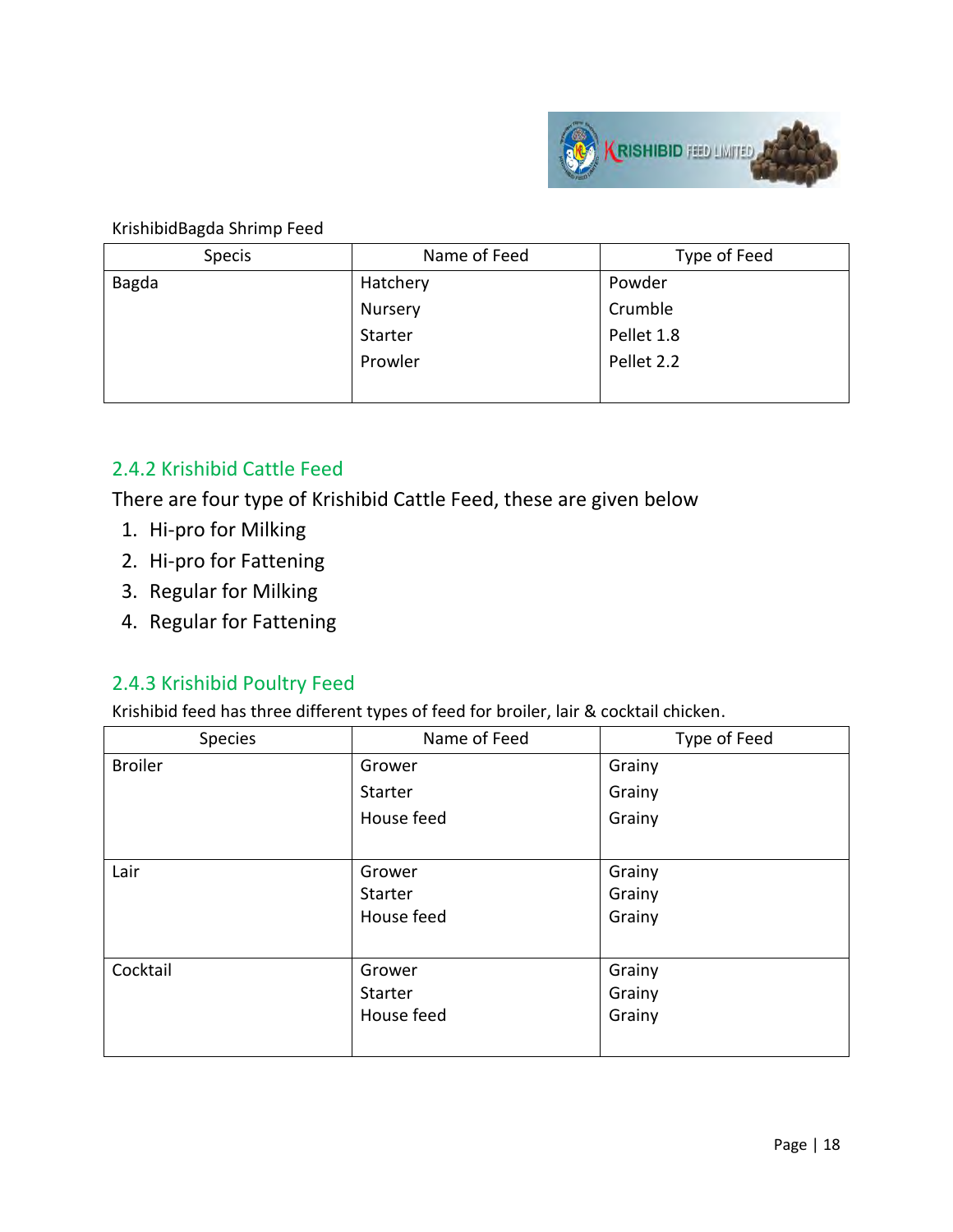

#### KrishibidBagda Shrimp Feed

| Specis | Name of Feed | Type of Feed |
|--------|--------------|--------------|
| Bagda  | Hatchery     | Powder       |
|        | Nursery      | Crumble      |
|        | Starter      | Pellet 1.8   |
|        | Prowler      | Pellet 2.2   |
|        |              |              |

#### 2.4.2 Krishibid Cattle Feed

There are four type of Krishibid Cattle Feed, these are given below

- 1. Hi-pro for Milking
- 2. Hi-pro for Fattening
- 3. Regular for Milking
- 4. Regular for Fattening

#### 2.4.3 Krishibid Poultry Feed

Krishibid feed has three different types of feed for broiler, lair & cocktail chicken.

| Species        | Name of Feed | Type of Feed |
|----------------|--------------|--------------|
| <b>Broiler</b> | Grower       | Grainy       |
|                | Starter      | Grainy       |
|                | House feed   | Grainy       |
|                |              |              |
| Lair           | Grower       | Grainy       |
|                | Starter      | Grainy       |
|                | House feed   | Grainy       |
|                |              |              |
| Cocktail       | Grower       | Grainy       |
|                | Starter      | Grainy       |
|                | House feed   | Grainy       |
|                |              |              |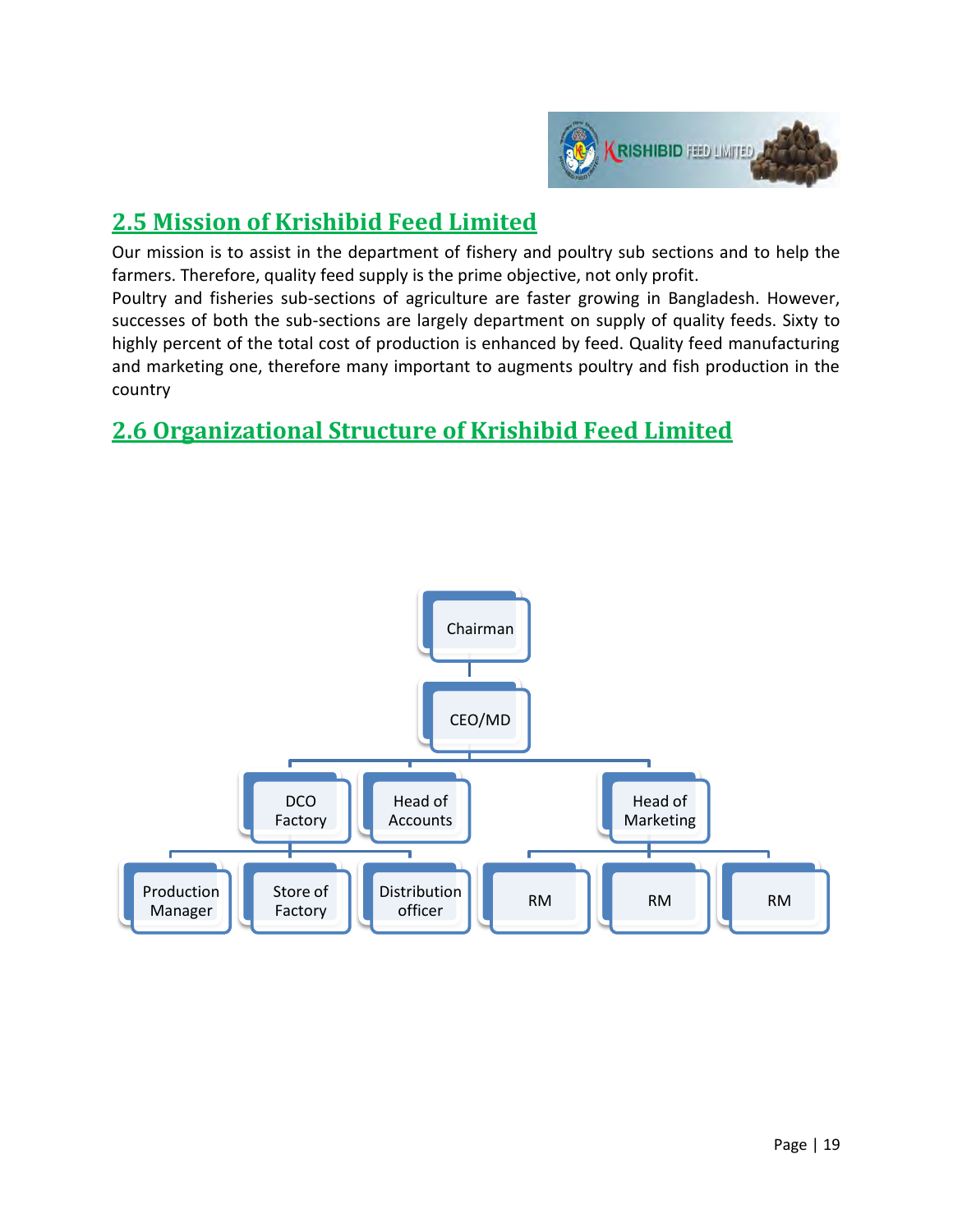

## **2.5 Mission of Krishibid Feed Limited**

Our mission is to assist in the department of fishery and poultry sub sections and to help the farmers. Therefore, quality feed supply is the prime objective, not only profit.

Poultry and fisheries sub-sections of agriculture are faster growing in Bangladesh. However, successes of both the sub-sections are largely department on supply of quality feeds. Sixty to highly percent of the total cost of production is enhanced by feed. Quality feed manufacturing and marketing one, therefore many important to augments poultry and fish production in the country

## **2.6 Organizational Structure of Krishibid Feed Limited**

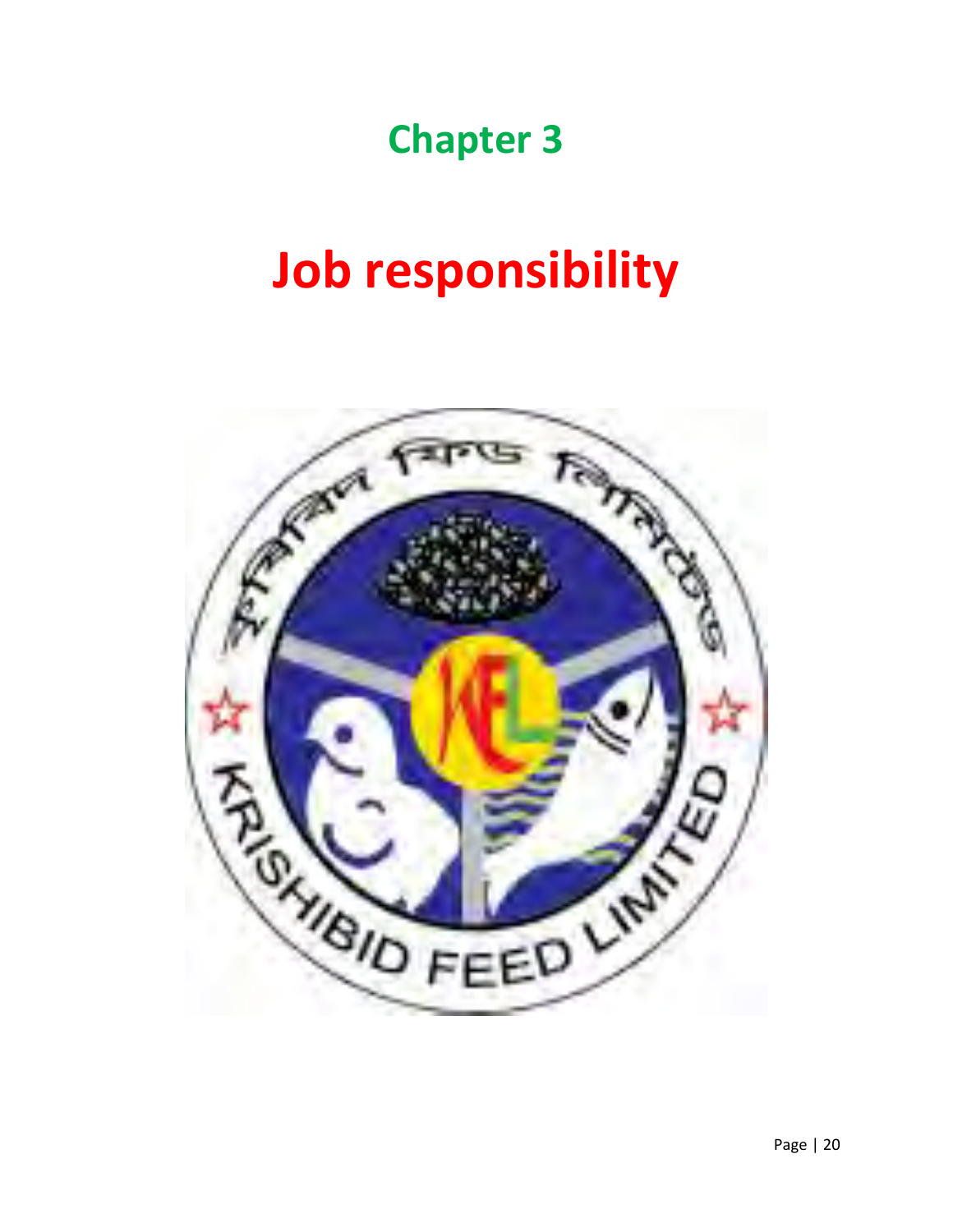## **Chapter 3**

# **Job responsibility**

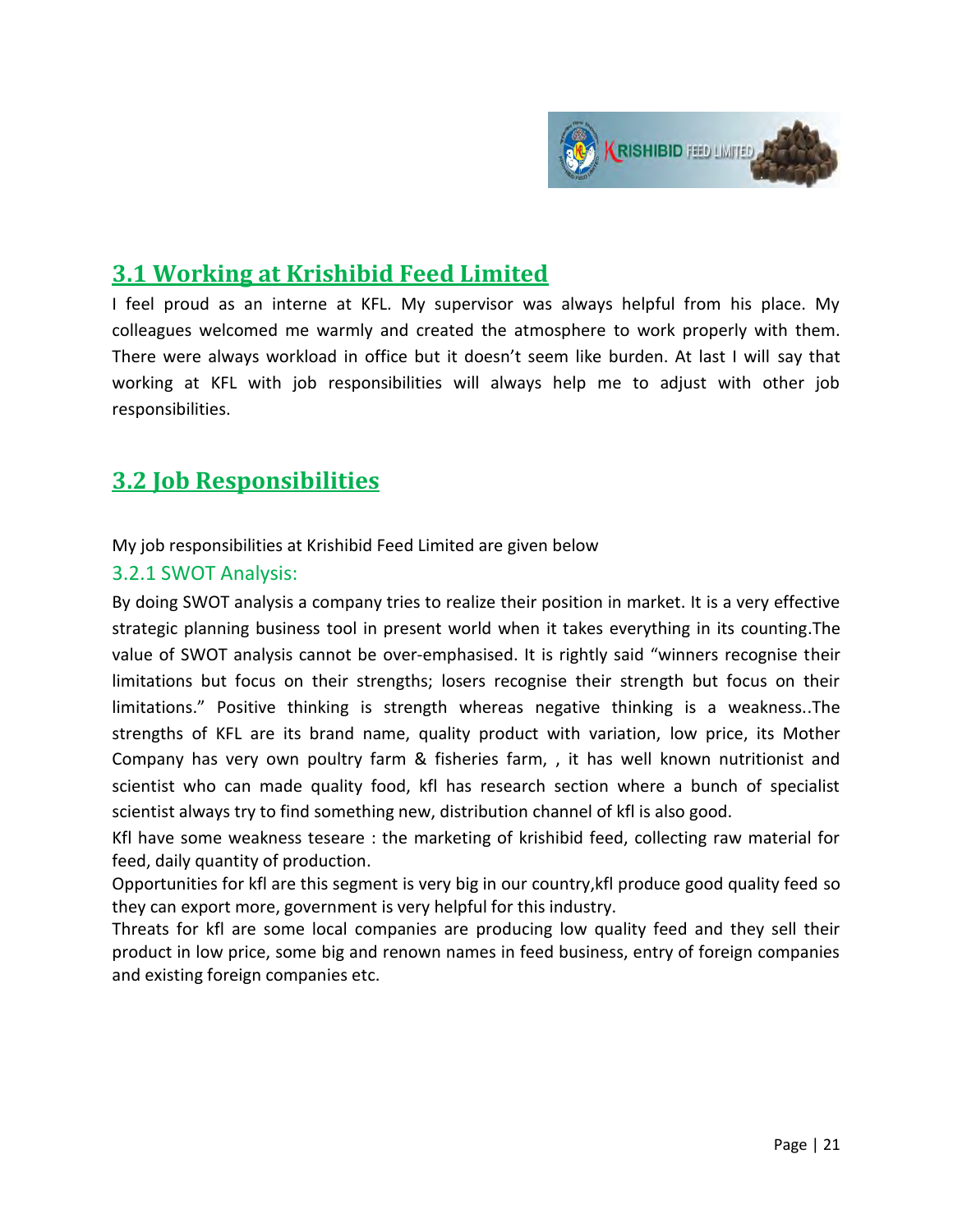

## **3.1 Working at Krishibid Feed Limited**

I feel proud as an interne at KFL. My supervisor was always helpful from his place. My colleagues welcomed me warmly and created the atmosphere to work properly with them. There were always workload in office but it doesn't seem like burden. At last I will say that working at KFL with job responsibilities will always help me to adjust with other job responsibilities.

### **3.2 Job Responsibilities**

My job responsibilities at Krishibid Feed Limited are given below

#### 3.2.1 SWOT Analysis:

By doing SWOT analysis a company tries to realize their position in market. It is a very effective strategic planning business tool in present world when it takes everything in its counting.The value of SWOT analysis cannot be over-emphasised. It is rightly said "winners recognise their limitations but focus on their strengths; losers recognise their strength but focus on their limitations." Positive thinking is strength whereas negative thinking is a weakness..The strengths of KFL are its brand name, quality product with variation, low price, its Mother Company has very own poultry farm & fisheries farm, , it has well known nutritionist and scientist who can made quality food, kfl has research section where a bunch of specialist scientist always try to find something new, distribution channel of kfl is also good.

Kfl have some weakness teseare : the marketing of krishibid feed, collecting raw material for feed, daily quantity of production.

Opportunities for kfl are this segment is very big in our country,kfl produce good quality feed so they can export more, government is very helpful for this industry.

Threats for kfl are some local companies are producing low quality feed and they sell their product in low price, some big and renown names in feed business, entry of foreign companies and existing foreign companies etc.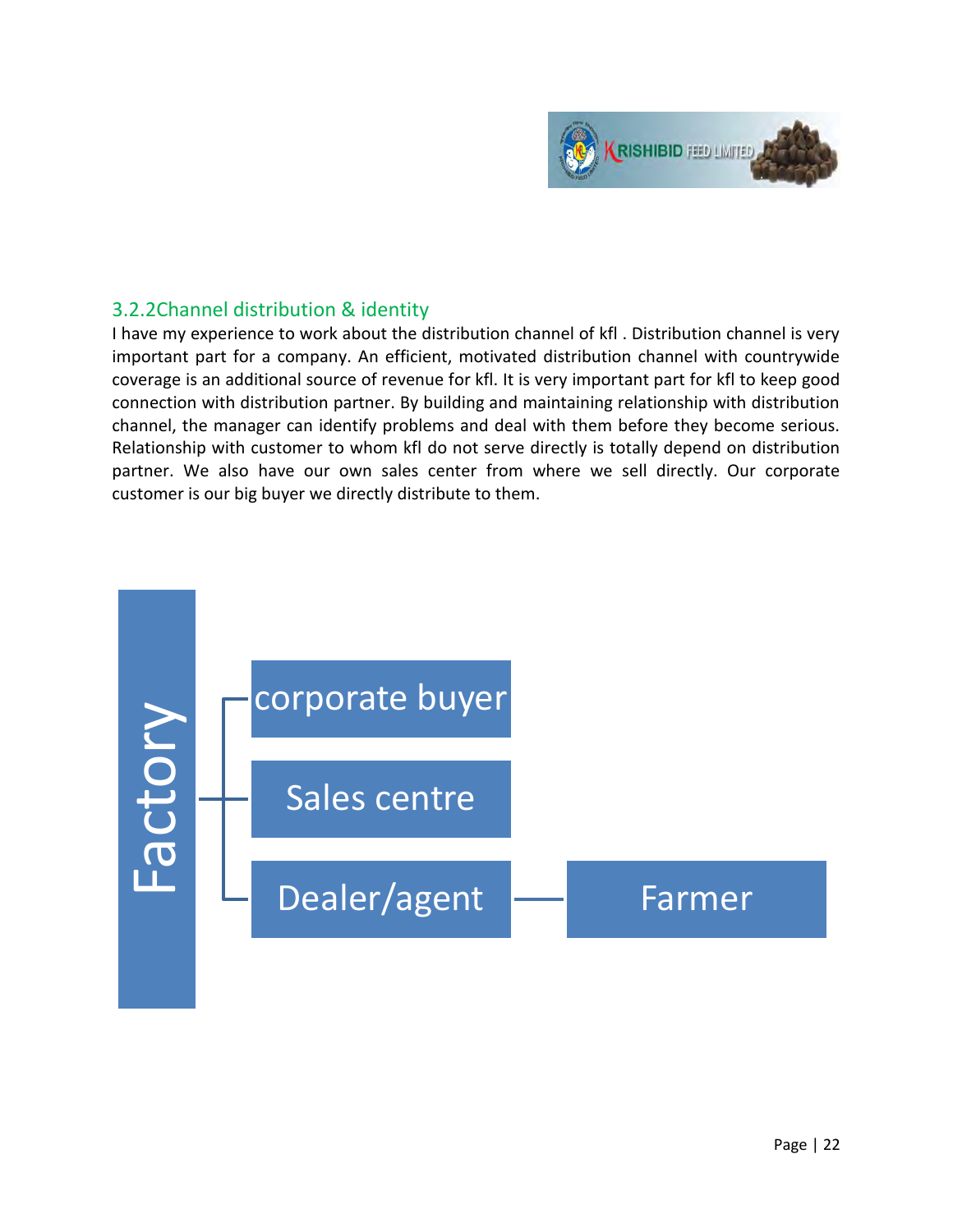

#### 3.2.2Channel distribution & identity

I have my experience to work about the distribution channel of kfl . Distribution channel is very important part for a company. An efficient, motivated distribution channel with countrywide coverage is an additional source of revenue for kfl. It is very important part for kfl to keep good connection with distribution partner. By building and maintaining relationship with distribution channel, the manager can identify problems and deal with them before they become serious. Relationship with customer to whom kfl do not serve directly is totally depend on distribution partner. We also have our own sales center from where we sell directly. Our corporate customer is our big buyer we directly distribute to them.

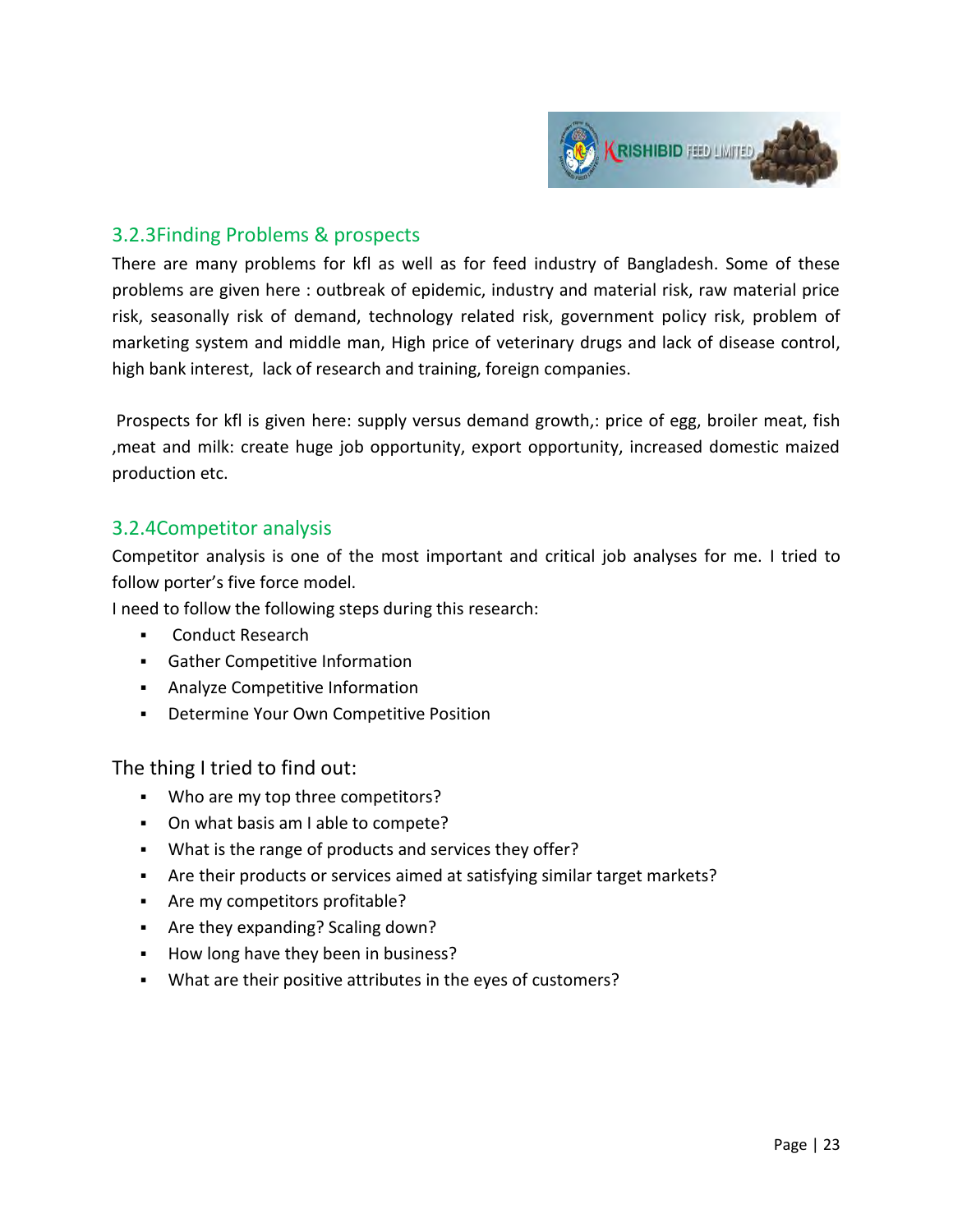

#### 3.2.3Finding Problems & prospects

There are many problems for kfl as well as for feed industry of Bangladesh. Some of these problems are given here : outbreak of epidemic, industry and material risk, raw material price risk, seasonally risk of demand, technology related risk, government policy risk, problem of marketing system and middle man, High price of veterinary drugs and lack of disease control, high bank interest, lack of research and training, foreign companies.

 Prospects for kfl is given here: supply versus demand growth,: price of egg, broiler meat, fish ,meat and milk: create huge job opportunity, export opportunity, increased domestic maized production etc.

#### 3.2.4Competitor analysis

Competitor analysis is one of the most important and critical job analyses for me. I tried to follow porter's five force model.

I need to follow the following steps during this research:

- **Conduct Research**
- Gather Competitive Information
- **Analyze Competitive Information**
- Determine Your Own Competitive Position

The thing I tried to find out:

- . Who are my top three competitors?
- On what basis am I able to compete?
- What is the range of products and services they offer?
- Are their products or services aimed at satisfying similar target markets?
- **Are my competitors profitable?**
- Are they expanding? Scaling down?
- How long have they been in business?
- What are their positive attributes in the eyes of customers?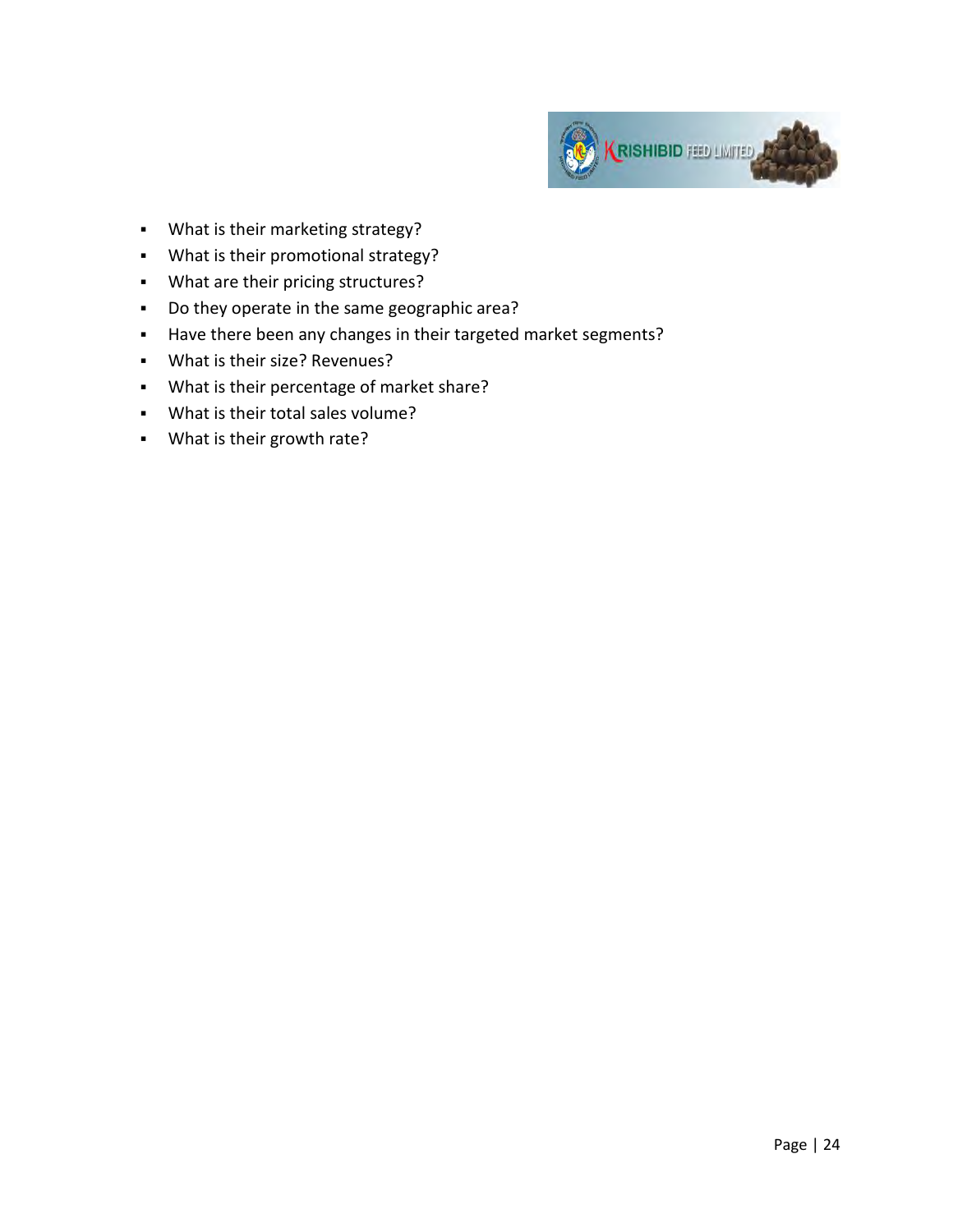

- What is their marketing strategy?
- What is their promotional strategy?
- What are their pricing structures?
- Do they operate in the same geographic area?
- Have there been any changes in their targeted market segments?
- What is their size? Revenues?
- What is their percentage of market share?
- What is their total sales volume?
- What is their growth rate?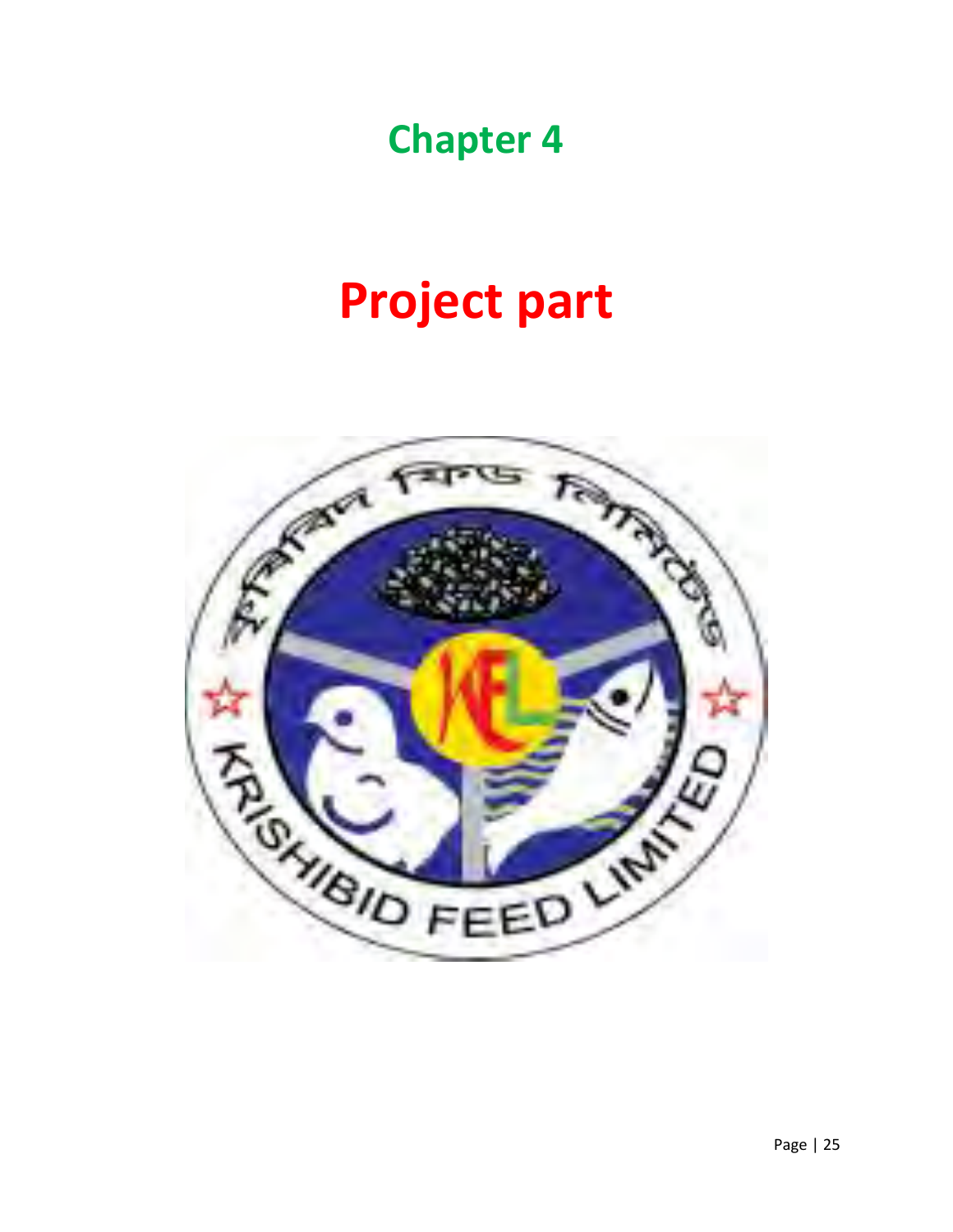## **Chapter 4**

# **Project part**

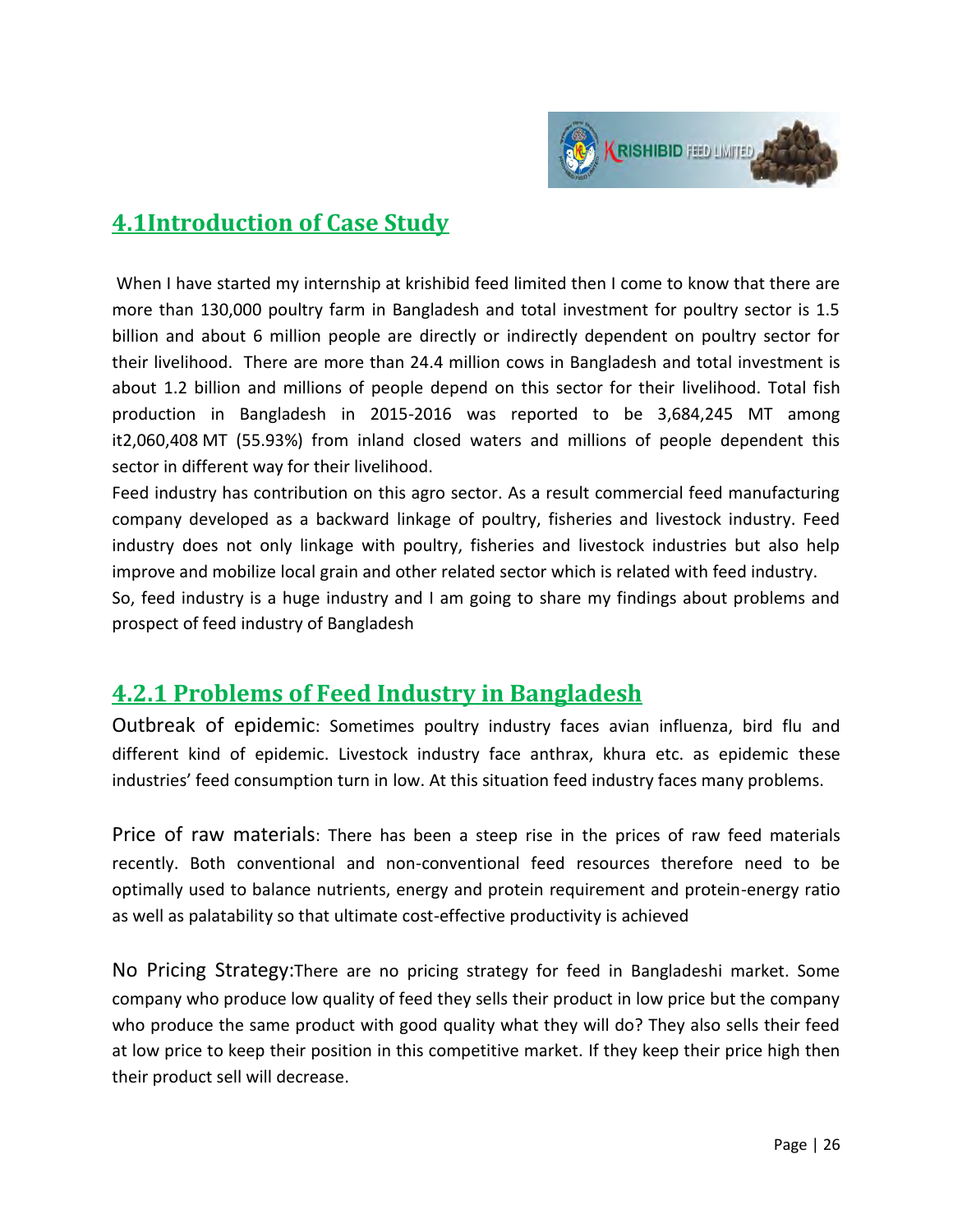

### **4.1Introduction of Case Study**

 When I have started my internship at krishibid feed limited then I come to know that there are more than 130,000 poultry farm in Bangladesh and total investment for poultry sector is 1.5 billion and about 6 million people are directly or indirectly dependent on poultry sector for their livelihood. There are more than 24.4 million cows in Bangladesh and total investment is about 1.2 billion and millions of people depend on this sector for their livelihood. Total fish production in Bangladesh in 2015-2016 was reported to be 3,684,245 MT among it2,060,408 MT (55.93%) from inland closed waters and millions of people dependent this sector in different way for their livelihood.

Feed industry has contribution on this agro sector. As a result commercial feed manufacturing company developed as a backward linkage of poultry, fisheries and livestock industry. Feed industry does not only linkage with poultry, fisheries and livestock industries but also help improve and mobilize local grain and other related sector which is related with feed industry.

So, feed industry is a huge industry and I am going to share my findings about problems and prospect of feed industry of Bangladesh

### **4.2.1 Problems of Feed Industry in Bangladesh**

Outbreak of epidemic: Sometimes poultry industry faces avian influenza, bird flu and different kind of epidemic. Livestock industry face anthrax, khura etc. as epidemic these industries' feed consumption turn in low. At this situation feed industry faces many problems.

Price of raw materials: There has been a steep rise in the prices of raw feed materials recently. Both conventional and non-conventional feed resources therefore need to be optimally used to balance nutrients, energy and protein requirement and protein-energy ratio as well as palatability so that ultimate cost-effective productivity is achieved

No Pricing Strategy:There are no pricing strategy for feed in Bangladeshi market. Some company who produce low quality of feed they sells their product in low price but the company who produce the same product with good quality what they will do? They also sells their feed at low price to keep their position in this competitive market. If they keep their price high then their product sell will decrease.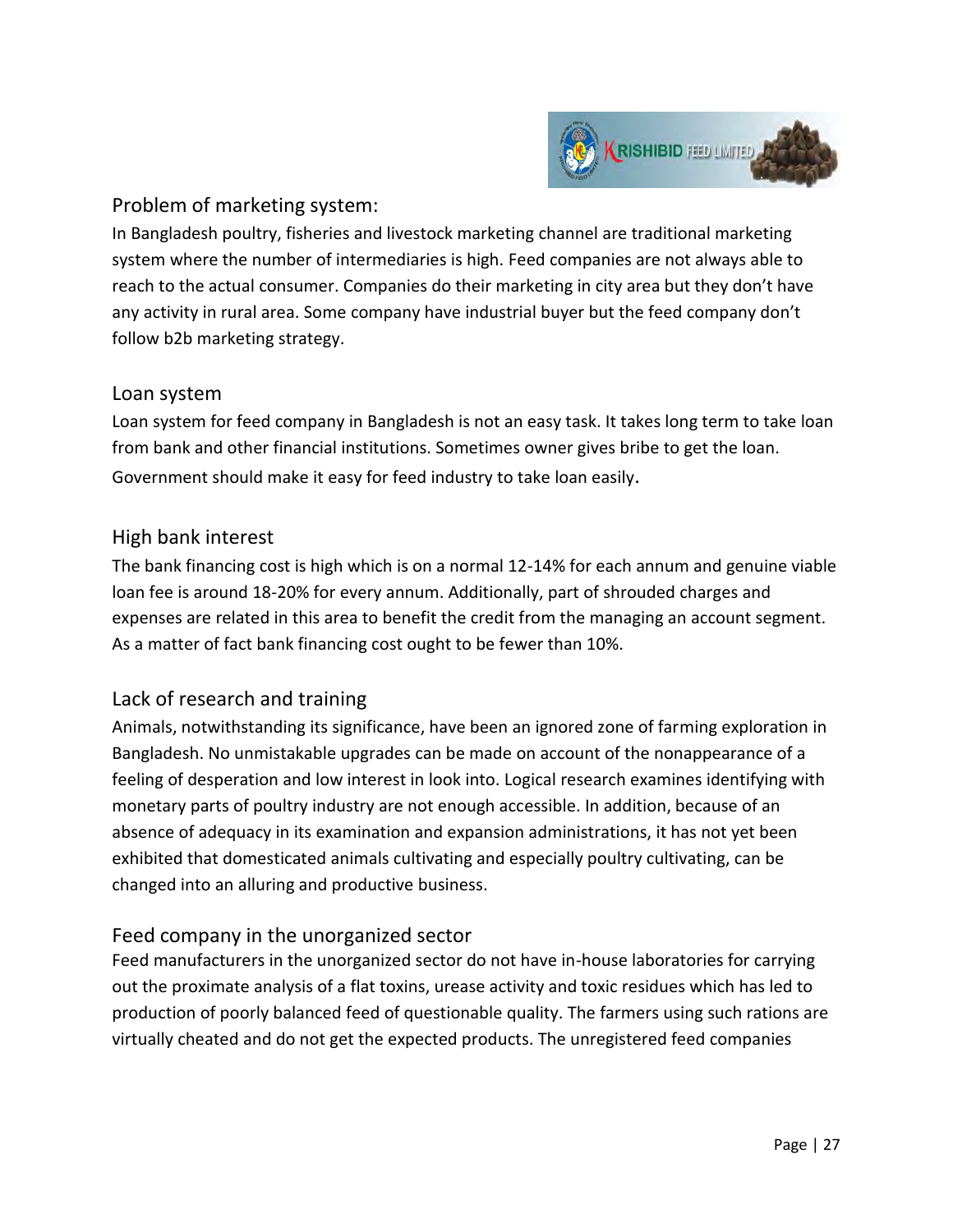

#### Problem of marketing system:

In Bangladesh poultry, fisheries and livestock marketing channel are traditional marketing system where the number of intermediaries is high. Feed companies are not always able to reach to the actual consumer. Companies do their marketing in city area but they don't have any activity in rural area. Some company have industrial buyer but the feed company don't follow b2b marketing strategy.

#### Loan system

Loan system for feed company in Bangladesh is not an easy task. It takes long term to take loan from bank and other financial institutions. Sometimes owner gives bribe to get the loan. Government should make it easy for feed industry to take loan easily.

#### High bank interest

The bank financing cost is high which is on a normal 12-14% for each annum and genuine viable loan fee is around 18-20% for every annum. Additionally, part of shrouded charges and expenses are related in this area to benefit the credit from the managing an account segment. As a matter of fact bank financing cost ought to be fewer than 10%.

#### Lack of research and training

Animals, notwithstanding its significance, have been an ignored zone of farming exploration in Bangladesh. No unmistakable upgrades can be made on account of the nonappearance of a feeling of desperation and low interest in look into. Logical research examines identifying with monetary parts of poultry industry are not enough accessible. In addition, because of an absence of adequacy in its examination and expansion administrations, it has not yet been exhibited that domesticated animals cultivating and especially poultry cultivating, can be changed into an alluring and productive business.

#### Feed company in the unorganized sector

Feed manufacturers in the unorganized sector do not have in-house laboratories for carrying out the proximate analysis of a flat toxins, urease activity and toxic residues which has led to production of poorly balanced feed of questionable quality. The farmers using such rations are virtually cheated and do not get the expected products. The unregistered feed companies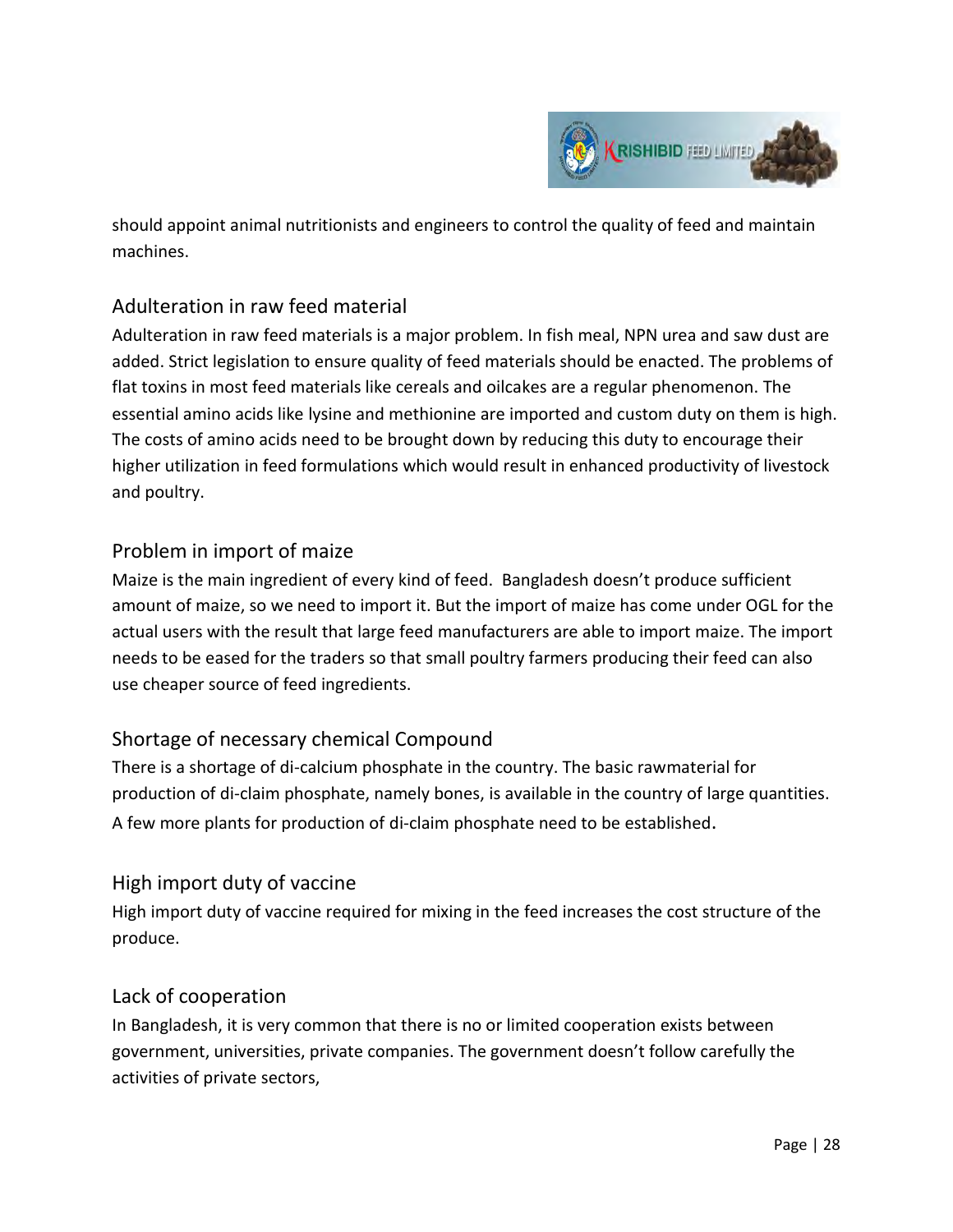

should appoint animal nutritionists and engineers to control the quality of feed and maintain machines.

#### Adulteration in raw feed material

Adulteration in raw feed materials is a major problem. In fish meal, NPN urea and saw dust are added. Strict legislation to ensure quality of feed materials should be enacted. The problems of flat toxins in most feed materials like cereals and oilcakes are a regular phenomenon. The essential amino acids like lysine and methionine are imported and custom duty on them is high. The costs of amino acids need to be brought down by reducing this duty to encourage their higher utilization in feed formulations which would result in enhanced productivity of livestock and poultry.

#### Problem in import of maize

Maize is the main ingredient of every kind of feed. Bangladesh doesn't produce sufficient amount of maize, so we need to import it. But the import of maize has come under OGL for the actual users with the result that large feed manufacturers are able to import maize. The import needs to be eased for the traders so that small poultry farmers producing their feed can also use cheaper source of feed ingredients.

#### Shortage of necessary chemical Compound

There is a shortage of di-calcium phosphate in the country. The basic rawmaterial for production of di-claim phosphate, namely bones, is available in the country of large quantities. A few more plants for production of di-claim phosphate need to be established.

#### High import duty of vaccine

High import duty of vaccine required for mixing in the feed increases the cost structure of the produce.

#### Lack of cooperation

In Bangladesh, it is very common that there is no or limited cooperation exists between government, universities, private companies. The government doesn't follow carefully the activities of private sectors,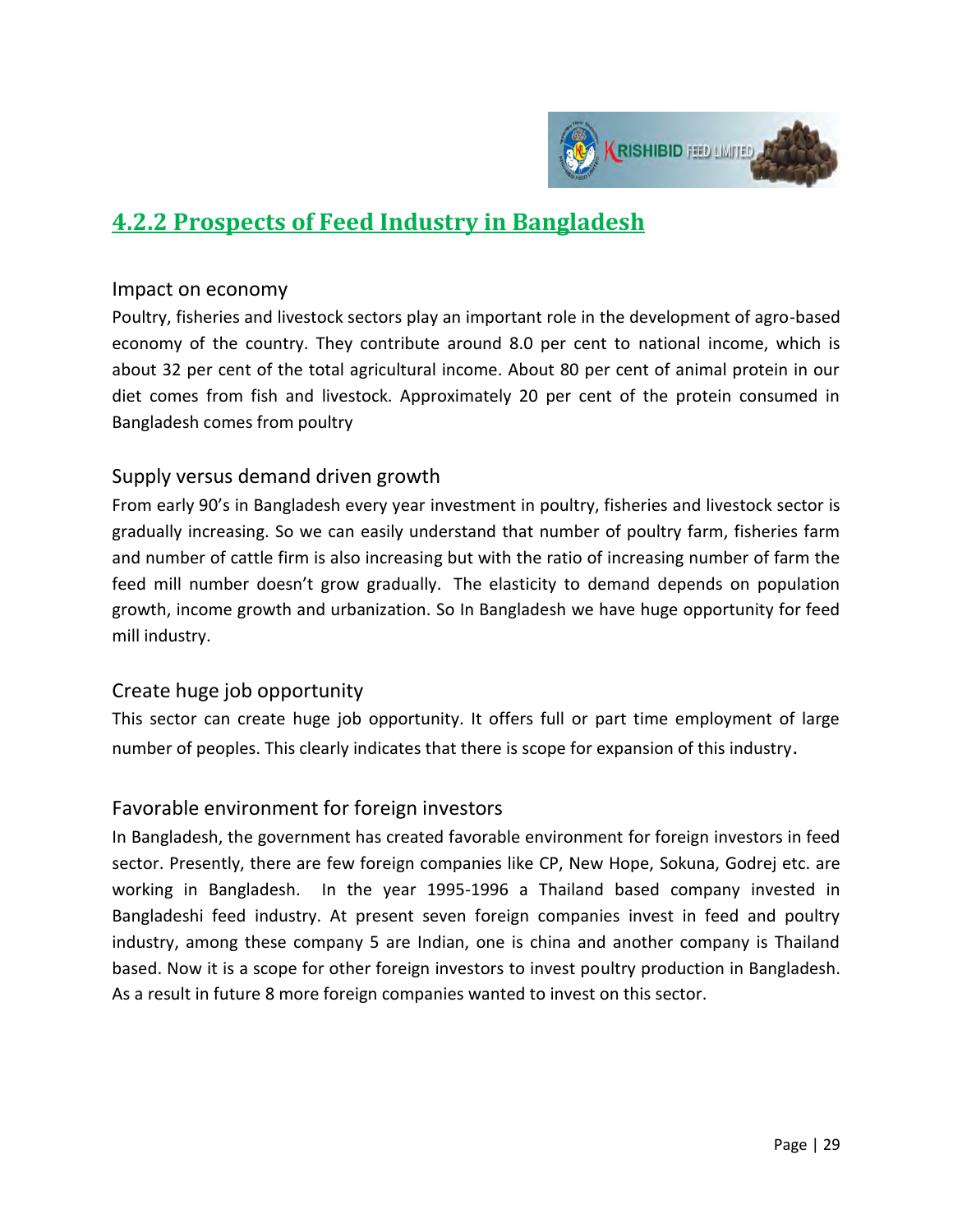

### **4.2.2 Prospects of Feed Industry in Bangladesh**

#### Impact on economy

Poultry, fisheries and livestock sectors play an important role in the development of agro-based economy of the country. They contribute around 8.0 per cent to national income, which is about 32 per cent of the total agricultural income. About 80 per cent of animal protein in our diet comes from fish and livestock. Approximately 20 per cent of the protein consumed in Bangladesh comes from poultry

#### Supply versus demand driven growth

From early 90's in Bangladesh every year investment in poultry, fisheries and livestock sector is gradually increasing. So we can easily understand that number of poultry farm, fisheries farm and number of cattle firm is also increasing but with the ratio of increasing number of farm the feed mill number doesn't grow gradually. The elasticity to demand depends on population growth, income growth and urbanization. So In Bangladesh we have huge opportunity for feed mill industry.

#### Create huge job opportunity

This sector can create huge job opportunity. It offers full or part time employment of large number of peoples. This clearly indicates that there is scope for expansion of this industry.

#### Favorable environment for foreign investors

In Bangladesh, the government has created favorable environment for foreign investors in feed sector. Presently, there are few foreign companies like CP, New Hope, Sokuna, Godrej etc. are working in Bangladesh. In the year 1995-1996 a Thailand based company invested in Bangladeshi feed industry. At present seven foreign companies invest in feed and poultry industry, among these company 5 are Indian, one is china and another company is Thailand based. Now it is a scope for other foreign investors to invest poultry production in Bangladesh. As a result in future 8 more foreign companies wanted to invest on this sector.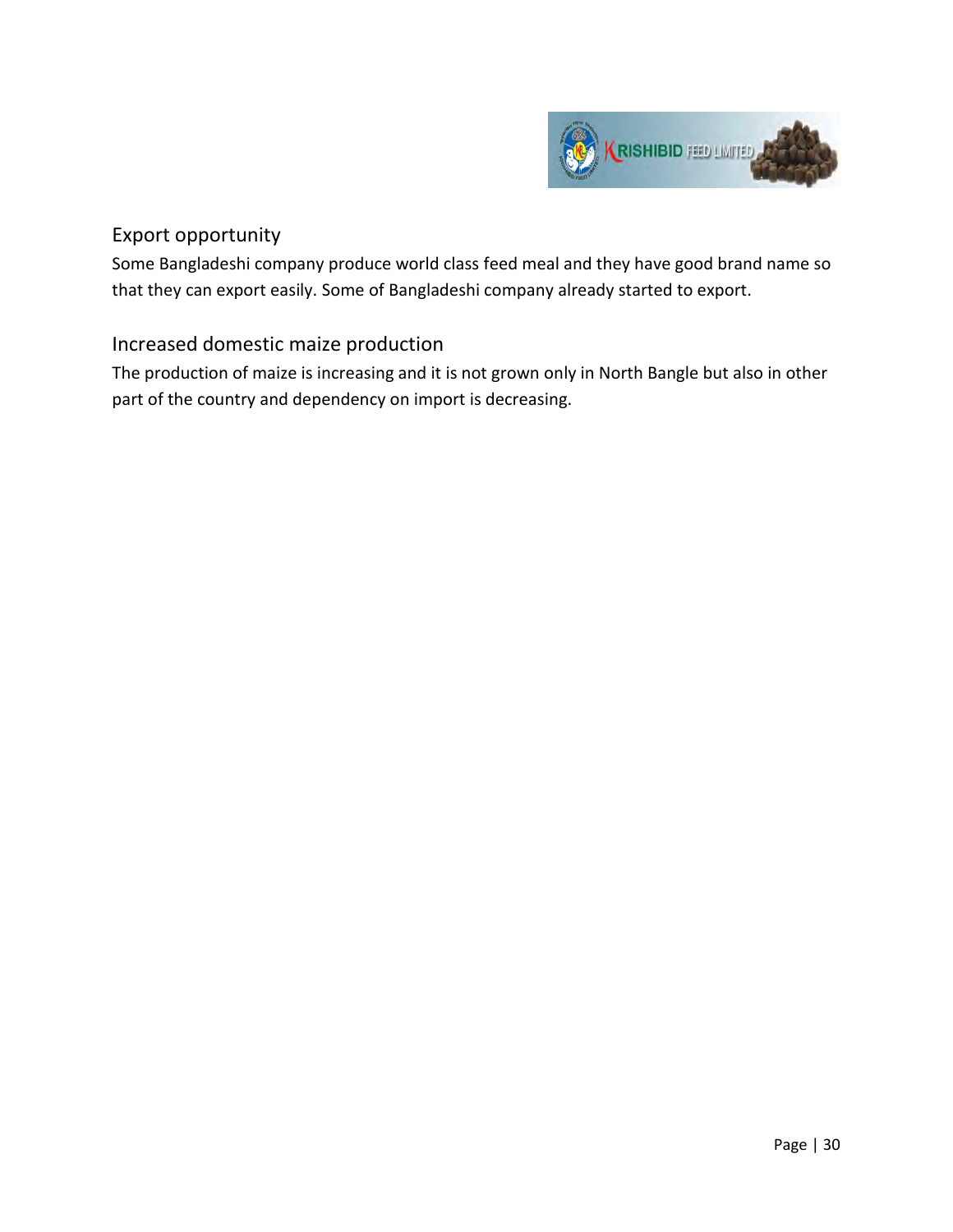

#### Export opportunity

Some Bangladeshi company produce world class feed meal and they have good brand name so that they can export easily. Some of Bangladeshi company already started to export.

#### Increased domestic maize production

The production of maize is increasing and it is not grown only in North Bangle but also in other part of the country and dependency on import is decreasing.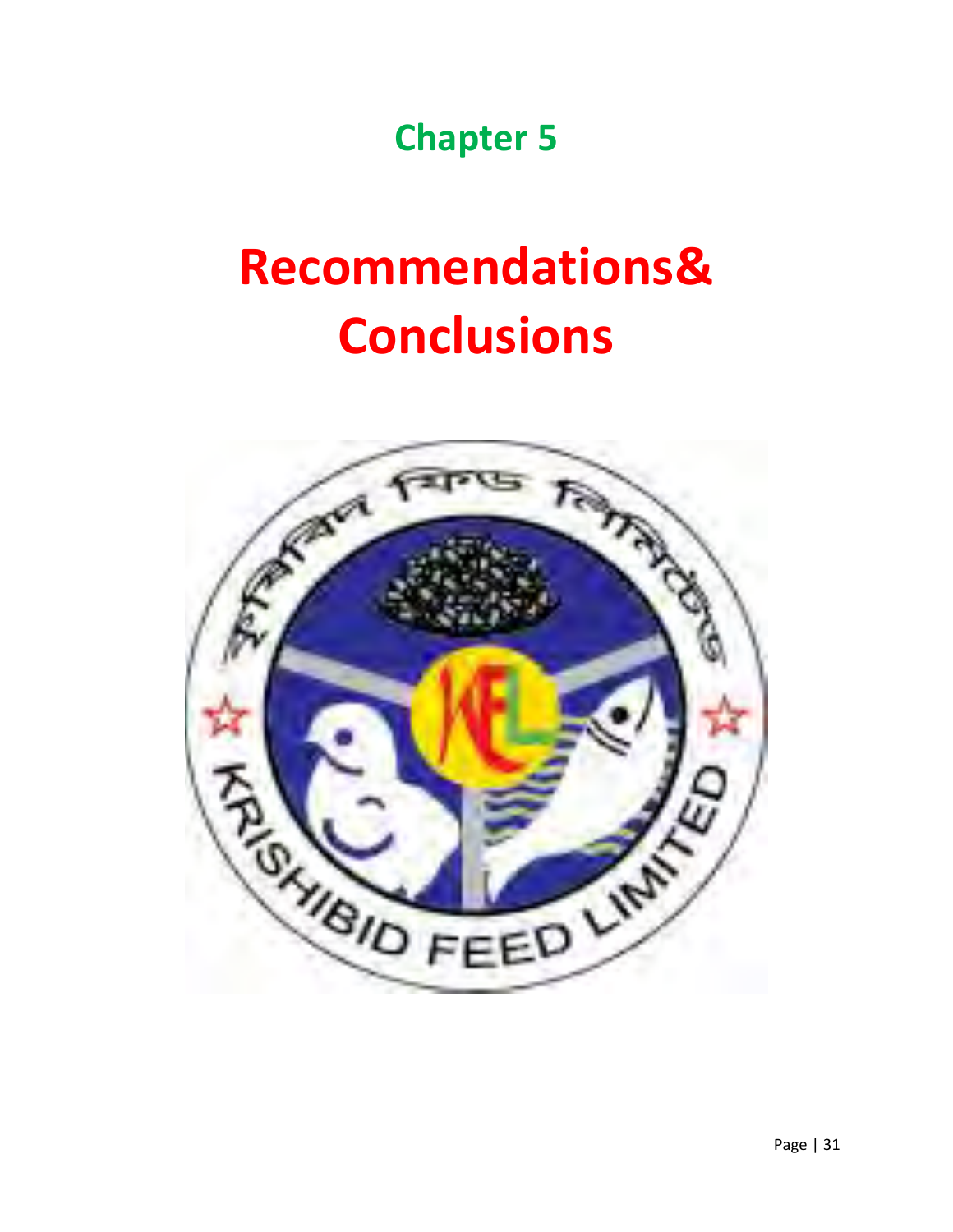**Chapter 5** 

# **Recommendations& Conclusions**

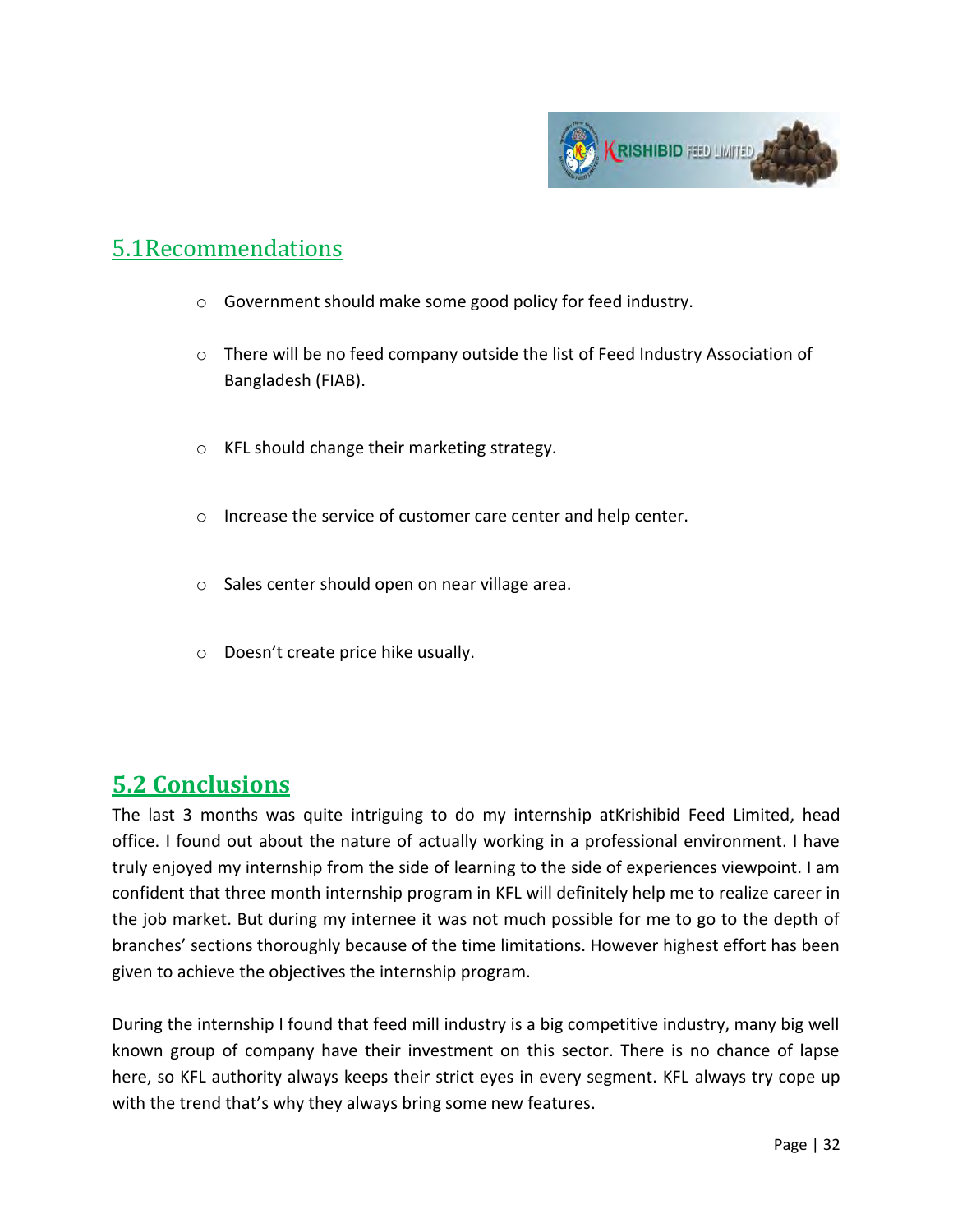

### 5.1Recommendations

- o Government should make some good policy for feed industry.
- o There will be no feed company outside the list of Feed Industry Association of Bangladesh (FIAB).
- o KFL should change their marketing strategy.
- o Increase the service of customer care center and help center.
- o Sales center should open on near village area.
- o Doesn't create price hike usually.

## **5.2 Conclusions**

The last 3 months was quite intriguing to do my internship atKrishibid Feed Limited, head office. I found out about the nature of actually working in a professional environment. I have truly enjoyed my internship from the side of learning to the side of experiences viewpoint. I am confident that three month internship program in KFL will definitely help me to realize career in the job market. But during my internee it was not much possible for me to go to the depth of branches' sections thoroughly because of the time limitations. However highest effort has been given to achieve the objectives the internship program.

During the internship I found that feed mill industry is a big competitive industry, many big well known group of company have their investment on this sector. There is no chance of lapse here, so KFL authority always keeps their strict eyes in every segment. KFL always try cope up with the trend that's why they always bring some new features.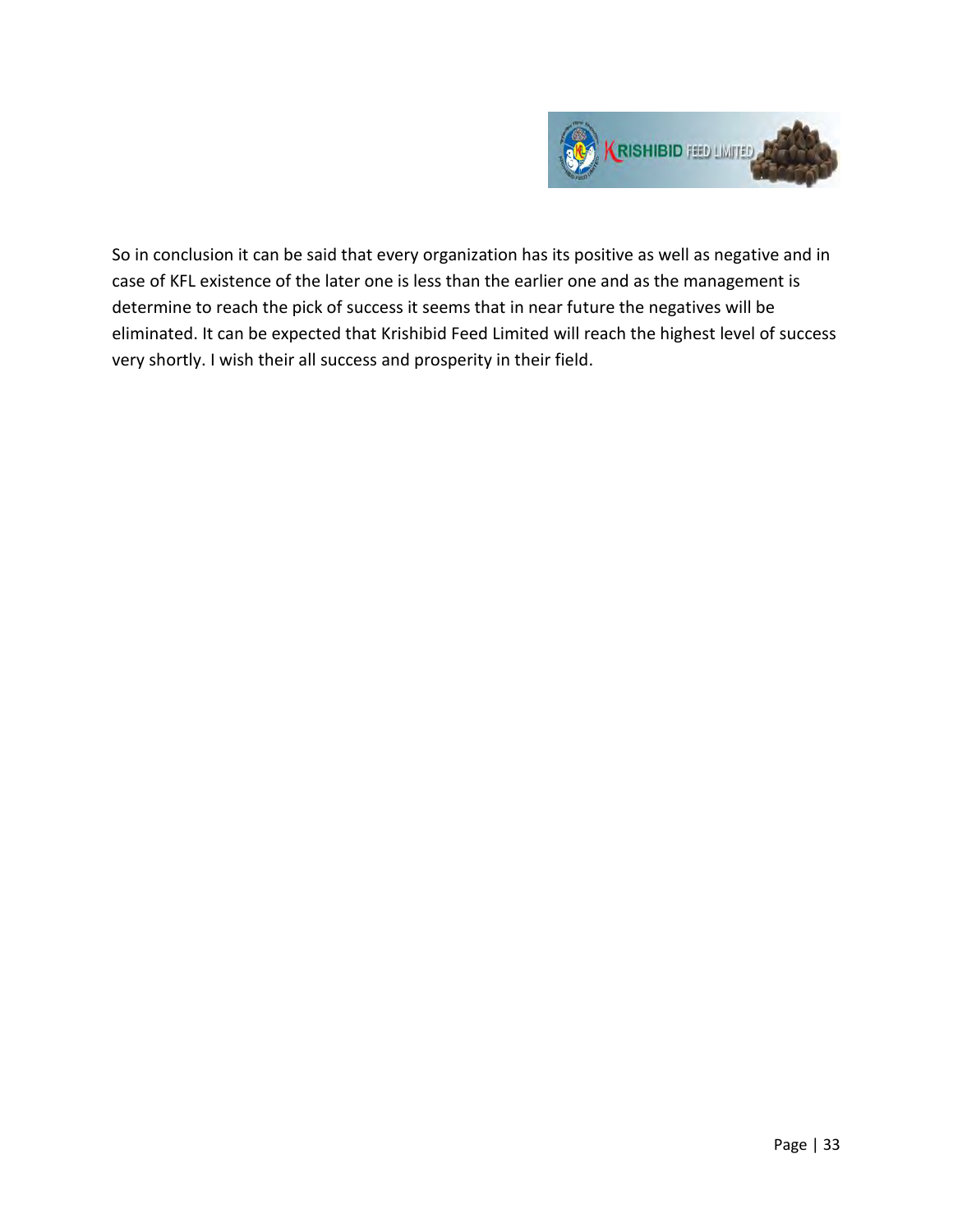

So in conclusion it can be said that every organization has its positive as well as negative and in case of KFL existence of the later one is less than the earlier one and as the management is determine to reach the pick of success it seems that in near future the negatives will be eliminated. It can be expected that Krishibid Feed Limited will reach the highest level of success very shortly. I wish their all success and prosperity in their field.